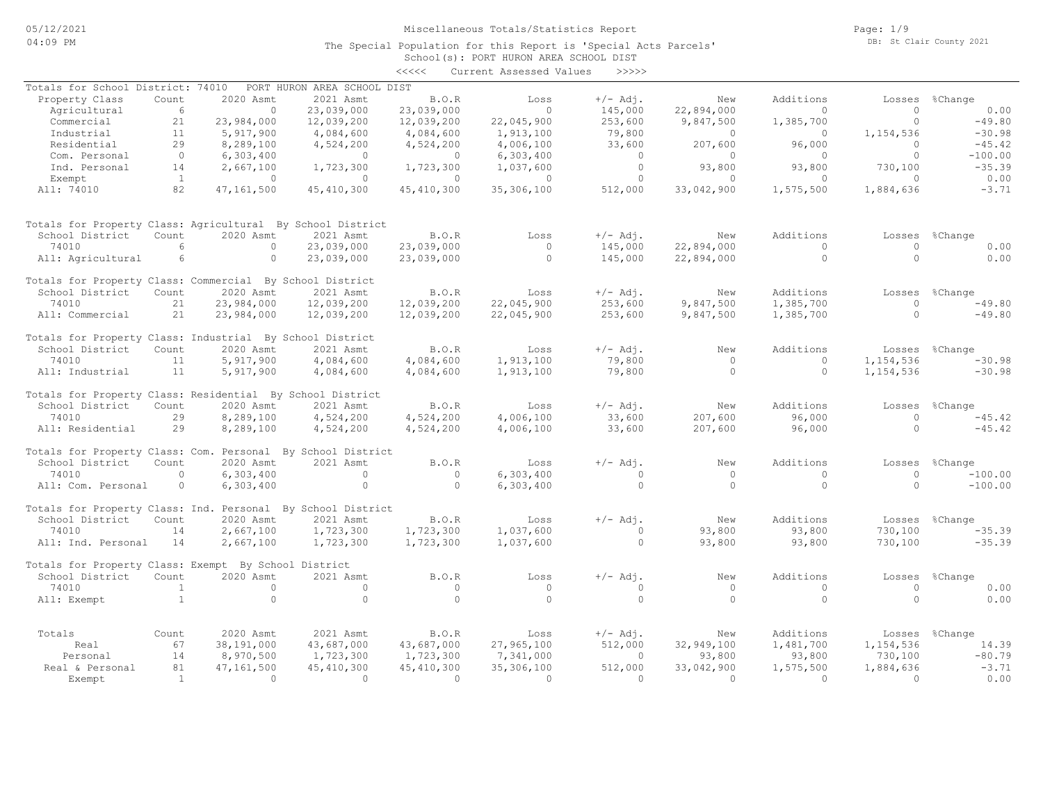### School(s): PORT HURON AREA SCHOOL DIST The Special Population for this Report is 'Special Acts Parcels'

|                                                             |                 |            |                             | <<<<         | Current Assessed Values | >>>>>      |                |           |           |                |
|-------------------------------------------------------------|-----------------|------------|-----------------------------|--------------|-------------------------|------------|----------------|-----------|-----------|----------------|
| Totals for School District:                                 |                 | 74010      | PORT HURON AREA SCHOOL DIST |              |                         |            |                |           |           |                |
| Property Class                                              | Count           | 2020 Asmt  | 2021 Asmt                   | B.O.R        | Loss                    | $+/-$ Adj. | New            | Additions | Losses    | %Change        |
| Agricultural                                                | 6               | $\Omega$   | 23,039,000                  | 23,039,000   | $\Omega$                | 145,000    | 22,894,000     | $\Omega$  | $\Omega$  | 0.00           |
| Commercial                                                  | 21              | 23,984,000 | 12,039,200                  | 12,039,200   | 22,045,900              | 253,600    | 9,847,500      | 1,385,700 | $\circ$   | $-49.80$       |
| Industrial                                                  | 11              | 5,917,900  | 4,084,600                   | 4,084,600    | 1,913,100               | 79,800     | $\overline{0}$ | $\circ$   | 1,154,536 | $-30.98$       |
| Residential                                                 | 29              | 8,289,100  | 4,524,200                   | 4,524,200    | 4,006,100               | 33,600     | 207,600        | 96,000    | $\Omega$  | $-45.42$       |
| Com. Personal                                               | $\circ$         | 6,303,400  | $\circ$                     | $\circ$      | 6,303,400               | $\circ$    | $\circ$        | $\circ$   | $\Omega$  | $-100.00$      |
| Ind. Personal                                               | 14              | 2,667,100  | 1,723,300                   | 1,723,300    | 1,037,600               | $\circ$    | 93,800         | 93,800    | 730,100   | $-35.39$       |
| Exempt                                                      | <sup>1</sup>    | $\Omega$   | $\Omega$                    | $\Omega$     | $\Omega$                | $\circ$    | $\Omega$       | $\Omega$  | $\Omega$  | 0.00           |
| All: 74010                                                  | 82              | 47,161,500 | 45, 410, 300                | 45, 410, 300 | 35,306,100              | 512,000    | 33,042,900     | 1,575,500 | 1,884,636 | $-3.71$        |
|                                                             |                 |            |                             |              |                         |            |                |           |           |                |
| Totals for Property Class: Agricultural By School District  |                 |            |                             |              |                         |            |                |           |           |                |
| School District                                             | Count           | 2020 Asmt  | 2021 Asmt                   | B.O.R        | Loss                    | $+/-$ Adj. | New            | Additions | Losses    | %Change        |
| 74010                                                       | $6\overline{6}$ | $\Omega$   | 23,039,000                  | 23,039,000   | $\circ$                 | 145,000    | 22,894,000     | $\Omega$  | $\Omega$  | 0.00           |
| All: Agricultural                                           | 6               | $\circ$    | 23,039,000                  | 23,039,000   | $\circ$                 | 145,000    | 22,894,000     | $\circ$   | $\Omega$  | 0.00           |
|                                                             |                 |            |                             |              |                         |            |                |           |           |                |
| Totals for Property Class: Commercial By School District    |                 |            |                             |              |                         |            |                |           |           |                |
| School District                                             | Count           | 2020 Asmt  | 2021 Asmt                   | B.O.R        | Loss                    | $+/-$ Adj. | New            | Additions | Losses    | %Change        |
| 74010                                                       | 21              | 23,984,000 | 12,039,200                  | 12,039,200   | 22,045,900              | 253,600    | 9,847,500      | 1,385,700 | $\Omega$  | $-49.80$       |
| All: Commercial                                             | 21              | 23,984,000 | 12,039,200                  | 12,039,200   | 22,045,900              | 253,600    | 9,847,500      | 1,385,700 | $\circ$   | $-49.80$       |
| Totals for Property Class: Industrial By School District    |                 |            |                             |              |                         |            |                |           |           |                |
| School District                                             | Count           | 2020 Asmt  | 2021 Asmt                   | B.O.R        | Loss                    | $+/-$ Adj. | New            | Additions |           | Losses %Change |
| 74010                                                       | 11              | 5,917,900  | 4,084,600                   | 4,084,600    | 1,913,100               | 79,800     | $\Omega$       | $\Omega$  | 1,154,536 | $-30.98$       |
| All: Industrial                                             | 11              | 5,917,900  | 4,084,600                   | 4,084,600    | 1,913,100               | 79,800     | $\Omega$       | $\Omega$  | 1,154,536 | $-30.98$       |
| Totals for Property Class: Residential By School District   |                 |            |                             |              |                         |            |                |           |           |                |
| School District                                             | Count           | 2020 Asmt  | 2021 Asmt                   | B.O.R        | Loss                    | $+/-$ Adj. | New            | Additions | Losses    | %Change        |
| 74010                                                       | 29              | 8,289,100  | 4,524,200                   | 4,524,200    | 4,006,100               | 33,600     | 207,600        | 96,000    | $\Omega$  | $-45.42$       |
| All: Residential                                            | 29              | 8,289,100  | 4,524,200                   | 4,524,200    | 4,006,100               | 33,600     | 207,600        | 96,000    | $\Omega$  | $-45.42$       |
|                                                             |                 |            |                             |              |                         |            |                |           |           |                |
| Totals for Property Class: Com. Personal By School District |                 |            |                             |              |                         |            |                |           |           |                |
| School District                                             | Count           | 2020 Asmt  | 2021 Asmt                   | B.O.R        | Loss                    | $+/-$ Adj. | New            | Additions | Losses    | %Change        |
| 74010                                                       | $\circ$         | 6,303,400  | $\circ$                     | $\circ$      | 6,303,400               | $\Omega$   | $\circ$        | $\circ$   | $\circ$   | $-100.00$      |
| All: Com. Personal                                          | $\circ$         | 6,303,400  | $\circ$                     | $\Omega$     | 6,303,400               | $\circ$    | $\circ$        | $\circ$   | $\Omega$  | $-100.00$      |
| Totals for Property Class: Ind. Personal By School District |                 |            |                             |              |                         |            |                |           |           |                |
| School District                                             | Count           | 2020 Asmt  | 2021 Asmt                   | <b>B.O.R</b> | Loss                    | $+/-$ Adj. | New            | Additions |           | Losses %Change |
| 74010                                                       | 14              | 2,667,100  | 1,723,300                   | 1,723,300    | 1,037,600               | $\Omega$   | 93,800         | 93,800    | 730,100   | $-35.39$       |
|                                                             | 14              | 2,667,100  | 1,723,300                   | 1,723,300    | 1,037,600               | $\Omega$   | 93,800         | 93,800    | 730,100   | $-35.39$       |
| All: Ind. Personal                                          |                 |            |                             |              |                         |            |                |           |           |                |
| Totals for Property Class: Exempt By School District        |                 |            |                             |              |                         |            |                |           |           |                |
| School District                                             | Count           | 2020 Asmt  | 2021 Asmt                   | B.O.R        | Loss                    | $+/-$ Adj. | New            | Additions | Losses    | %Change        |
| 74010                                                       | $\mathbf{1}$    | $\circ$    | $\circ$                     | $\circ$      | $\circ$                 | $\Omega$   | $\circ$        | $\Omega$  | $\Omega$  | 0.00           |
| All: Exempt                                                 | $\mathbf{1}$    | $\circ$    | $\circ$                     | $\Omega$     | $\Omega$                | $\Omega$   | $\Omega$       | $\Omega$  | $\Omega$  | 0.00           |
|                                                             |                 |            |                             |              |                         |            |                |           |           |                |
| Totals                                                      | Count           | 2020 Asmt  | 2021 Asmt                   | B.O.R        | Loss                    | $+/-$ Adj. | New            | Additions |           | Losses %Change |
| Real                                                        | 67              | 38,191,000 | 43,687,000                  | 43,687,000   | 27,965,100              | 512,000    | 32,949,100     | 1,481,700 | 1,154,536 | 14.39          |
| Personal                                                    | 14              | 8,970,500  | 1,723,300                   | 1,723,300    | 7,341,000               | $\circ$    | 93,800         | 93,800    | 730,100   | $-80.79$       |
| Real & Personal                                             | 81              | 47,161,500 | 45, 410, 300                | 45, 410, 300 | 35,306,100              | 512,000    | 33,042,900     | 1,575,500 | 1,884,636 | $-3.71$        |
| Exempt                                                      | $\mathbf{1}$    | $\Omega$   | $\Omega$                    | $\circ$      | $\Omega$                | $\Omega$   | $\Omega$       | $\Omega$  | $\Omega$  | 0.00           |

Page: 1/9 DB: St Clair County 2021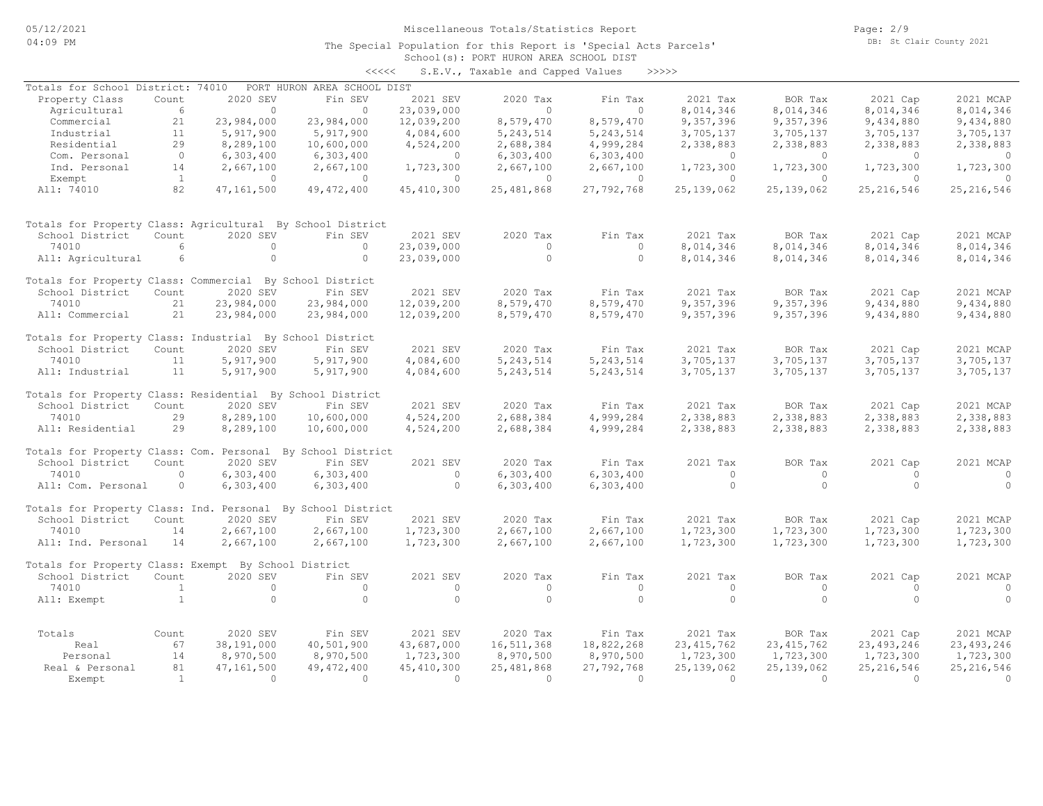Page: 2/9 DB: St Clair County 2021

### School(s): PORT HURON AREA SCHOOL DIST The Special Population for this Report is 'Special Acts Parcels'

| くくくくく | S.E.V., Taxable and Capped Values |  |  |  | >>>>> |
|-------|-----------------------------------|--|--|--|-------|
|-------|-----------------------------------|--|--|--|-------|

| Totals for School District: 74010                           |                |                | PORT HURON AREA SCHOOL DIST |              |                          |                |                        |                           |                          |                |
|-------------------------------------------------------------|----------------|----------------|-----------------------------|--------------|--------------------------|----------------|------------------------|---------------------------|--------------------------|----------------|
| Property Class                                              | Count          | 2020 SEV       | Fin SEV                     | 2021 SEV     | 2020 Tax                 | Fin Tax        | 2021 Tax               | BOR Tax                   | 2021 Cap                 | 2021 MCAP      |
| Agricultural                                                | 6              | $\circ$        | $\circ$                     | 23,039,000   | $\circ$                  | $\circ$        | 8,014,346              | 8,014,346                 | 8,014,346                | 8,014,346      |
| Commercial                                                  | 21             | 23,984,000     | 23,984,000                  | 12,039,200   | 8,579,470                | 8,579,470      | 9,357,396              | 9,357,396                 | 9,434,880                | 9,434,880      |
| Industrial                                                  | 11             | 5,917,900      | 5,917,900                   | 4,084,600    | 5, 243, 514              | 5, 243, 514    | 3,705,137              | 3,705,137                 | 3,705,137                | 3,705,137      |
| Residential                                                 | 29             | 8,289,100      | 10,600,000                  | 4,524,200    | 2,688,384                | 4,999,284      | 2,338,883              | 2,338,883                 | 2,338,883                | 2,338,883      |
| Com. Personal                                               | $\circ$        | 6,303,400      | 6,303,400                   | $\circ$      | 6,303,400                | 6,303,400      | $\Omega$               | $\Omega$                  | $\Omega$                 | $\Omega$       |
| Ind. Personal                                               | 14             | 2,667,100      | 2,667,100                   | 1,723,300    | 2,667,100                | 2,667,100      | 1,723,300              | 1,723,300                 | 1,723,300                | 1,723,300      |
| Exempt                                                      | $\mathbf{1}$   | $\overline{0}$ | $\circ$                     | $\Omega$     | $\circ$                  | $\overline{0}$ | $\circ$                | $\bigcirc$                | $\Omega$                 | $\Omega$       |
| All: 74010                                                  | 82             | 47,161,500     | 49, 472, 400                | 45, 410, 300 | 25, 481, 868             | 27,792,768     | 25, 139, 062           | 25, 139, 062              | 25, 216, 546             | 25, 216, 546   |
| Totals for Property Class: Agricultural By School District  |                |                |                             |              |                          |                |                        |                           |                          |                |
| School District                                             | Count          | 2020 SEV       | Fin SEV                     | 2021 SEV     | 2020 Tax                 | Fin Tax        | 2021 Tax               | BOR Tax                   | 2021 Cap                 | 2021 MCAP      |
| 74010                                                       | 6              | $\circ$        | $\circ$                     | 23,039,000   | $\circ$                  | $\circ$        | 8,014,346              | 8,014,346                 | 8,014,346                | 8,014,346      |
| All: Agricultural                                           | 6              | $\circ$        | $\circ$                     | 23,039,000   | $\circ$                  | $\circ$        | 8,014,346              | 8,014,346                 | 8,014,346                | 8,014,346      |
| Totals for Property Class: Commercial By School District    |                |                |                             |              |                          |                |                        |                           |                          |                |
| School District                                             | Count          | 2020 SEV       | Fin SEV                     | 2021 SEV     | 2020 Tax                 | Fin Tax        | 2021 Tax               | BOR Tax                   | 2021 Cap                 | 2021 MCAP      |
| 74010                                                       | 21             | 23,984,000     | 23,984,000                  | 12,039,200   | 8,579,470                | 8,579,470      | 9,357,396              | 9,357,396                 | 9,434,880                | 9,434,880      |
| All: Commercial                                             | 21             | 23,984,000     | 23,984,000                  | 12,039,200   | 8,579,470                | 8,579,470      | 9,357,396              | 9,357,396                 | 9,434,880                | 9,434,880      |
| Totals for Property Class: Industrial By School District    |                |                |                             |              |                          |                |                        |                           |                          |                |
| School District                                             | Count          | 2020 SEV       | Fin SEV                     | 2021 SEV     | 2020 Tax                 | Fin Tax        | 2021 Tax               | BOR Tax                   | 2021 Cap                 | 2021 MCAP      |
| 74010                                                       | 11             | 5,917,900      | 5,917,900                   | 4,084,600    | 5, 243, 514              | 5, 243, 514    | 3,705,137              | 3,705,137                 | 3,705,137                | 3,705,137      |
| All: Industrial                                             | 11             | 5,917,900      | 5,917,900                   | 4,084,600    | 5, 243, 514              | 5, 243, 514    | 3,705,137              | 3,705,137                 | 3,705,137                | 3,705,137      |
| Totals for Property Class: Residential By School District   |                |                |                             |              |                          |                |                        |                           |                          |                |
| School District                                             | Count          | 2020 SEV       | Fin SEV                     | 2021 SEV     | 2020 Tax                 | Fin Tax        | 2021 Tax               | BOR Tax                   | 2021 Cap                 | 2021 MCAP      |
| 74010                                                       | 29             | 8,289,100      | 10,600,000                  | 4,524,200    | 2,688,384                | 4,999,284      | 2,338,883              | 2,338,883                 | 2,338,883                | 2,338,883      |
| All: Residential                                            | 29             | 8,289,100      | 10,600,000                  | 4,524,200    | 2,688,384                | 4,999,284      | 2,338,883              | 2,338,883                 | 2,338,883                | 2,338,883      |
| Totals for Property Class: Com. Personal By School District |                |                |                             |              |                          |                |                        |                           |                          |                |
| School District                                             | Count          | 2020 SEV       | Fin SEV                     | 2021 SEV     | 2020 Tax                 | Fin Tax        | 2021 Tax               | BOR Tax                   | 2021 Cap                 | 2021 MCAP      |
| 74010                                                       | $\Omega$       | 6,303,400      | 6,303,400                   | $\circ$      | 6,303,400                | 6,303,400      | $\Omega$               | $\Omega$                  | $\Omega$                 | $\circ$        |
| All: Com. Personal                                          | $\circ$        | 6,303,400      | 6,303,400                   | $\circ$      | 6,303,400                | 6,303,400      | $\circ$                | $\Omega$                  | $\Omega$                 | $\circ$        |
| Totals for Property Class: Ind. Personal By School District |                |                |                             |              |                          |                |                        |                           |                          |                |
| School District                                             | Count          | 2020 SEV       | Fin SEV                     | 2021 SEV     | 2020 Tax                 | Fin Tax        | 2021 Tax               | BOR Tax                   | 2021 Cap                 | 2021 MCAP      |
| 74010                                                       | 14             | 2,667,100      | 2,667,100                   | 1,723,300    | 2,667,100                | 2,667,100      | 1,723,300              | 1,723,300                 | 1,723,300                | 1,723,300      |
| All: Ind. Personal                                          | 14             | 2,667,100      | 2,667,100                   | 1,723,300    | 2,667,100                | 2,667,100      | 1,723,300              | 1,723,300                 | 1,723,300                | 1,723,300      |
| Totals for Property Class: Exempt By School District        |                |                |                             |              |                          |                |                        |                           |                          |                |
| School District                                             | Count          | 2020 SEV       | Fin SEV                     | 2021 SEV     | 2020 Tax                 | Fin Tax        | 2021 Tax               | BOR Tax                   | 2021 Cap                 | 2021 MCAP      |
| 74010                                                       | $\mathbf{1}$   | $\circ$        | $\circ$                     | $\circ$      | $\circ$                  | $\circ$        | $\circ$                | $\circ$                   | $\Omega$                 | $\circ$        |
| All: Exempt                                                 | $\mathbf{1}$   | $\circ$        | $\circ$                     | $\circ$      | $\circ$                  | $\circ$        | $\circ$                | $\Omega$                  | $\Omega$                 | $\circ$        |
|                                                             |                |                |                             |              |                          |                |                        |                           |                          |                |
| Totals                                                      | Count          | 2020 SEV       | Fin SEV                     | 2021 SEV     | 2020 Tax                 | Fin Tax        | 2021 Tax               | BOR Tax                   | 2021 Cap                 | 2021 MCAP      |
| Real                                                        | 67             | 38,191,000     | 40,501,900                  | 43,687,000   | 16,511,368               | 18,822,268     | 23, 415, 762           | 23, 415, 762              | 23, 493, 246             | 23, 493, 246   |
| Personal                                                    | 14             | 8,970,500      | 8,970,500                   | 1,723,300    | 8,970,500                | 8,970,500      | 1,723,300              | 1,723,300                 | 1,723,300                | 1,723,300      |
| Real & Personal                                             | 81             | 47, 161, 500   | 49, 472, 400                | 45, 410, 300 | 25, 481, 868<br>$\Omega$ | 27,792,768     | 25, 139, 062<br>$\cap$ | 25, 139, 062<br>$\bigcap$ | 25, 216, 546<br>$\Omega$ | 25, 216, 546   |
| Exempt                                                      | $\overline{1}$ | $\Omega$       | $\Omega$                    | $\bigcirc$   |                          | $\overline{0}$ |                        |                           |                          | $\overline{0}$ |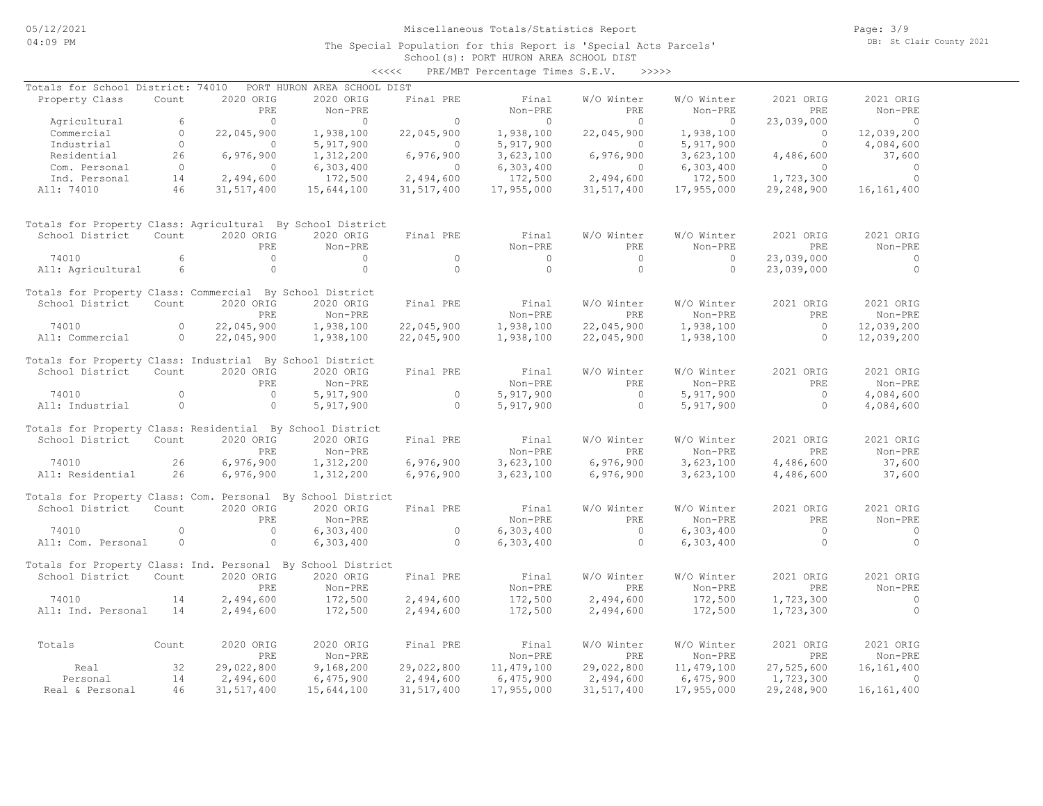The Special Population for this Report is 'Special Acts Parcels'

Page: 3/9 DB: St Clair County 2021

### School(s): PORT HURON AREA SCHOOL DIST <<<<< PRE/MBT Percentage Times S.E.V. >>>>>

| Totals for School District: 74010                           |                |                | PORT HURON AREA SCHOOL DIST |                |                |                |              |                     |                |
|-------------------------------------------------------------|----------------|----------------|-----------------------------|----------------|----------------|----------------|--------------|---------------------|----------------|
| Property Class                                              | Count          | 2020 ORIG      | 2020 ORIG                   | Final PRE      | Final          | W/O Winter     | W/O Winter   | 2021 ORIG           | 2021 ORIG      |
|                                                             |                | PRE            | Non-PRE                     |                | Non-PRE        | PRE            | Non-PRE      | <b>PRE</b>          | Non-PRE        |
| Agricultural                                                | 6              | $\bigcirc$     | $\Omega$                    | $\Omega$       | $\circ$        | $\bigcirc$     | $\circ$      | 23,039,000          | $\circ$        |
| Commercial                                                  | $\Omega$       | 22,045,900     | 1,938,100                   | 22,045,900     | 1,938,100      | 22,045,900     | 1,938,100    | $\bigcirc$          | 12,039,200     |
| Industrial                                                  | $\overline{0}$ | $\circ$        | 5,917,900                   | $\Omega$       | 5,917,900      | $\circ$        | 5, 917, 900  | $\circ$             | 4,084,600      |
| Residential                                                 | 26             | 6,976,900      | 1,312,200                   | 6,976,900      | 3,623,100      | 6,976,900      | 3,623,100    | 4,486,600           | 37,600         |
| Com. Personal                                               | $\overline{0}$ | $\Omega$       | 6,303,400                   | $\bigcirc$     | 6,303,400      | $\bigcirc$     | 6,303,400    | $\overline{0}$      | $\Omega$       |
| Ind. Personal                                               | 14             | 2,494,600      | 172,500                     | 2,494,600      | 172,500        | 2,494,600      | 172,500      | 1,723,300           | $\circ$        |
| All: 74010                                                  | 46             | 31,517,400     | 15,644,100                  | 31,517,400     | 17,955,000     | 31,517,400     | 17,955,000   | 29,248,900          | 16, 161, 400   |
| Totals for Property Class: Agricultural By School District  |                |                |                             |                |                |                |              |                     |                |
| School District                                             | Count          | 2020 ORIG      | 2020 ORIG                   | Final PRE      | Final          | W/O Winter     | W/O Winter   | 2021 ORIG           | 2021 ORIG      |
|                                                             |                | PRE            | Non-PRE                     |                | Non-PRE        | PRE            | Non-PRE      | PRE                 | Non-PRE        |
| 74010                                                       | 6              | $\circ$        | $\circ$                     | $\circ$        | $\overline{0}$ | $\overline{0}$ | $\circ$      | 23,039,000          | $\overline{0}$ |
| All: Agricultural                                           | 6              | $\circ$        | $\Omega$                    | $\Omega$       | $\circ$        | $\circ$        | $\circ$      | 23,039,000          | $\circ$        |
| Totals for Property Class: Commercial By School District    |                |                |                             |                |                |                |              |                     |                |
| School District                                             | Count          | 2020 ORIG      | 2020 ORIG                   | Final PRE      | Final          | W/O Winter     | W/O Winter   | 2021 ORIG           | 2021 ORIG      |
|                                                             |                | PRE            | Non-PRE                     |                | Non-PRE        | PRE            | Non-PRE      | PRE                 | Non-PRE        |
| 74010                                                       | $\circ$        | 22,045,900     | 1,938,100                   | 22,045,900     | 1,938,100      | 22,045,900     | 1,938,100    | $\circ$<br>$\Omega$ | 12,039,200     |
| All: Commercial                                             | $\circ$        | 22,045,900     | 1,938,100                   | 22,045,900     | 1,938,100      | 22,045,900     | 1,938,100    |                     | 12,039,200     |
| Totals for Property Class: Industrial By School District    |                |                |                             |                |                |                |              |                     |                |
| School District                                             | Count          | 2020 ORIG      | 2020 ORIG                   | Final PRE      | Final          | W/O Winter     | W/O Winter   | 2021 ORIG           | 2021 ORIG      |
|                                                             |                | PRE            | Non-PRE                     |                | Non-PRE        | PRE            | Non-PRE      | PRE                 | Non-PRE        |
| 74010                                                       | $\Omega$       | $\overline{0}$ | 5,917,900                   | $\circ$        | 5,917,900      | $\circ$        | 5,917,900    | $\circ$             | 4,084,600      |
| All: Industrial                                             | $\Omega$       | $\Omega$       | 5,917,900                   | $\cap$         | 5,917,900      | $\Omega$       | 5,917,900    | $\Omega$            | 4,084,600      |
| Totals for Property Class: Residential By School District   |                |                |                             |                |                |                |              |                     |                |
| School District                                             | Count          | 2020 ORIG      | 2020 ORIG                   | Final PRE      | Final          | W/O Winter     | W/O Winter   | 2021 ORIG           | 2021 ORIG      |
|                                                             |                | PRE            | Non-PRE                     |                | Non-PRE        | PRE            | Non-PRE      | PRE                 | Non-PRE        |
| 74010                                                       | 26             | 6,976,900      | 1,312,200                   | 6,976,900      | 3,623,100      | 6,976,900      | 3,623,100    | 4,486,600           | 37,600         |
| All: Residential                                            | 26             | 6,976,900      | 1,312,200                   | 6,976,900      | 3,623,100      | 6,976,900      | 3,623,100    | 4,486,600           | 37,600         |
| Totals for Property Class: Com. Personal By School District |                |                |                             |                |                |                |              |                     |                |
| School District                                             | Count          | 2020 ORIG      | 2020 ORIG                   | Final PRE      | Final          | W/O Winter     | W/O Winter   | 2021 ORIG           | 2021 ORIG      |
|                                                             |                | PRE            | Non-PRE                     |                | Non-PRE        | PRE            | Non-PRE      | PRE                 | Non-PRE        |
| 74010                                                       | $\Omega$       | $\overline{0}$ | 6,303,400                   | $\overline{0}$ | 6,303,400      | $\overline{0}$ | 6,303,400    | $\bigcirc$          | $\circ$        |
| All: Com. Personal                                          | $\circ$        | $\circ$        | 6,303,400                   | $\circ$        | 6,303,400      | $\circ$        | 6,303,400    | $\circ$             | $\Omega$       |
| Totals for Property Class: Ind. Personal By School District |                |                |                             |                |                |                |              |                     |                |
| School District                                             | Count          | 2020 ORIG      | 2020 ORIG                   | Final PRE      | Final          | W/O Winter     | W/O Winter   | 2021 ORIG           | 2021 ORIG      |
|                                                             |                | PRE.           | Non-PRE                     |                | Non-PRE        | PRE.           | Non-PRE      | PRE.                | Non-PRE        |
| 74010                                                       | 14             | 2,494,600      | 172,500                     | 2,494,600      | 172,500        | 2,494,600      | 172,500      | 1,723,300           | $\circ$        |
| All: Ind. Personal                                          | 14             | 2,494,600      | 172,500                     | 2,494,600      | 172,500        | 2,494,600      | 172,500      | 1,723,300           | $\circ$        |
|                                                             |                |                |                             |                |                |                |              |                     |                |
| Totals                                                      | Count          | 2020 ORIG      | 2020 ORIG                   | Final PRE      | Final          | W/O Winter     | W/O Winter   | 2021 ORIG           | 2021 ORIG      |
|                                                             |                | PRE            | Non-PRE                     |                | Non-PRE        | PRE            | Non-PRE      | PRE                 | Non-PRE        |
| Real                                                        | 32             | 29,022,800     | 9,168,200                   | 29,022,800     | 11,479,100     | 29,022,800     | 11, 479, 100 | 27,525,600          | 16, 161, 400   |
| Personal                                                    | 14             | 2,494,600      | 6,475,900                   | 2,494,600      | 6,475,900      | 2,494,600      | 6,475,900    | 1,723,300           | $\circ$        |
| Real & Personal                                             | 46             | 31,517,400     | 15,644,100                  | 31, 517, 400   | 17,955,000     | 31,517,400     | 17,955,000   | 29,248,900          | 16, 161, 400   |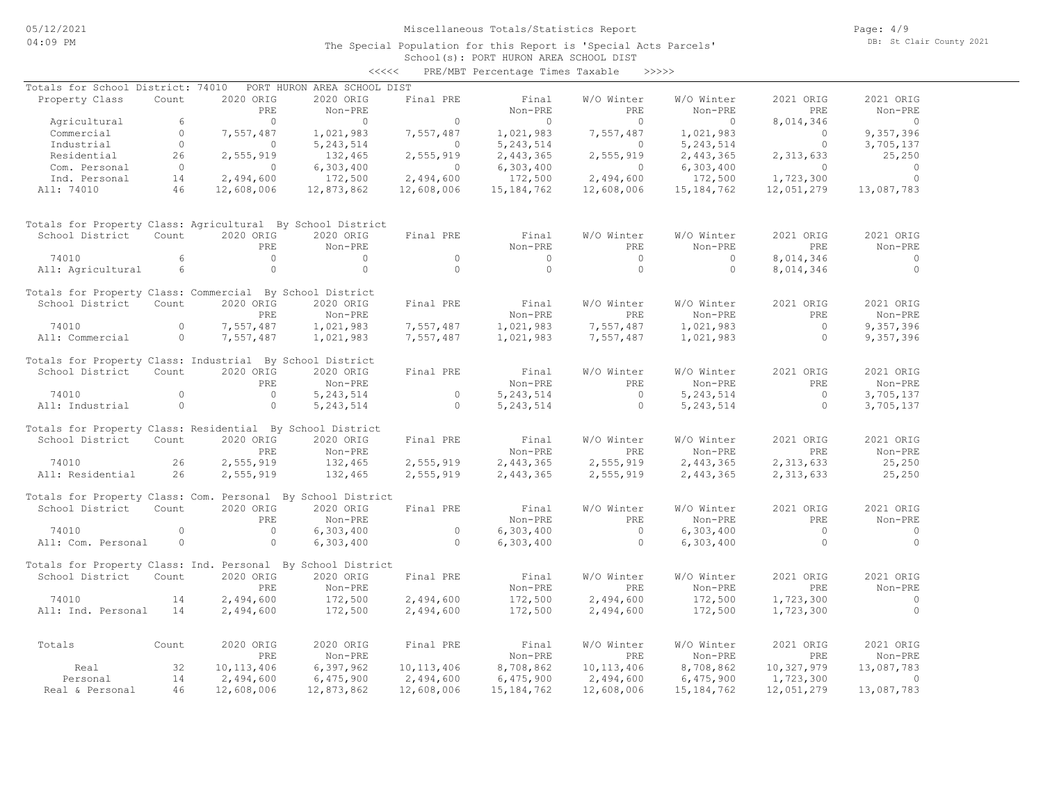### School(s): PORT HURON AREA SCHOOL DIST The Special Population for this Report is 'Special Acts Parcels'

|                                                             |                |                |                             | $\prec\prec\prec\prec\prec$ | PRE/MBT Percentage Times Taxable |                | >>>>>        |                |                |
|-------------------------------------------------------------|----------------|----------------|-----------------------------|-----------------------------|----------------------------------|----------------|--------------|----------------|----------------|
| Totals for School District: 74010                           |                |                | PORT HURON AREA SCHOOL DIST |                             |                                  |                |              |                |                |
| Property Class                                              | Count          | 2020 ORIG      | 2020 ORIG                   | Final PRE                   | Final                            | W/O Winter     | W/O Winter   | 2021 ORIG      | 2021 ORIG      |
|                                                             |                | PRE            | Non-PRE                     |                             | Non-PRE                          | PRE            | Non-PRE      | <b>PRE</b>     | Non-PRE        |
| Agricultural                                                | 6              | $\overline{0}$ | $\Omega$                    | $\circ$                     | $\circ$                          | $\bigcirc$     | $\circ$      | 8,014,346      | $\overline{0}$ |
| Commercial                                                  | $\circ$        | 7,557,487      | 1,021,983                   | 7,557,487                   | 1,021,983                        | 7,557,487      | 1,021,983    | $\Omega$       | 9,357,396      |
| Industrial                                                  | $\circ$        | 0              | 5, 243, 514                 | $\circ$                     | 5, 243, 514                      | $\circ$        | 5, 243, 514  | $\circ$        | 3,705,137      |
| Residential                                                 | 26             | 2,555,919      | 132,465                     | 2,555,919                   | 2,443,365                        | 2,555,919      | 2,443,365    | 2,313,633      | 25,250         |
| Com. Personal                                               | $\overline{0}$ | $\circ$        | 6,303,400                   | $\circ$                     | 6,303,400                        | $\circ$        | 6,303,400    | $\Omega$       | $\circ$        |
| Ind. Personal                                               | 14             | 2,494,600      | 172,500                     | 2,494,600                   | 172,500                          | 2,494,600      | 172,500      | 1,723,300      | $\Omega$       |
| All: 74010                                                  | 46             | 12,608,006     | 12,873,862                  | 12,608,006                  | 15, 184, 762                     | 12,608,006     | 15, 184, 762 | 12,051,279     | 13,087,783     |
| Totals for Property Class: Agricultural By School District  |                |                |                             |                             |                                  |                |              |                |                |
| School District                                             | Count          | 2020 ORIG      | 2020 ORIG                   | Final PRE                   | Final                            | W/O Winter     | W/O Winter   | 2021 ORIG      | 2021 ORIG      |
|                                                             |                | PRE            | Non-PRE                     |                             | Non-PRE                          | PRE            | Non-PRE      | PRE            | Non-PRE        |
| 74010                                                       | 6              | $\overline{0}$ | $\Omega$                    | $\circ$                     | $\circ$                          | $\circ$        | $\circ$      | 8,014,346      | $\circ$        |
| All: Agricultural                                           | 6              | $\circ$        | $\Omega$                    | $\Omega$                    | $\Omega$                         | $\Omega$       | $\Omega$     | 8,014,346      | $\circ$        |
| Totals for Property Class: Commercial By School District    |                |                |                             |                             |                                  |                |              |                |                |
| School District                                             | Count          | 2020 ORIG      | 2020 ORIG                   | Final PRE                   | Final                            | W/O Winter     | W/O Winter   | 2021 ORIG      | 2021 ORIG      |
|                                                             |                | PRE            | Non-PRE                     |                             | Non-PRE                          | PRE            | Non-PRE      | PRE            | Non-PRE        |
| 74010                                                       | $\Omega$       | 7,557,487      | 1,021,983                   | 7,557,487                   | 1,021,983                        | 7,557,487      | 1,021,983    | $\overline{0}$ | 9,357,396      |
| All: Commercial                                             | $\circ$        | 7,557,487      | 1,021,983                   | 7,557,487                   | 1,021,983                        | 7,557,487      | 1,021,983    | $\circ$        | 9,357,396      |
| Totals for Property Class: Industrial By School District    |                |                |                             |                             |                                  |                |              |                |                |
| School District                                             | Count          | 2020 ORIG      | 2020 ORIG                   | Final PRE                   | Final                            | W/O Winter     | W/O Winter   | 2021 ORIG      | 2021 ORIG      |
|                                                             |                | PRE            | Non-PRE                     |                             | Non-PRE                          | PRE            | Non-PRE      | PRE            | Non-PRE        |
| 74010                                                       | $\Omega$       | $\overline{0}$ | 5, 243, 514                 | $\circ$                     | 5, 243, 514                      | $\Omega$       | 5, 243, 514  | $\bigcap$      | 3,705,137      |
| All: Industrial                                             | $\circ$        | $\circ$        | 5, 243, 514                 | $\circ$                     | 5, 243, 514                      | $\circ$        | 5, 243, 514  | $\circ$        | 3,705,137      |
| Totals for Property Class: Residential By School District   |                |                |                             |                             |                                  |                |              |                |                |
| School District                                             | Count          | 2020 ORIG      | 2020 ORIG                   | Final PRE                   | Final                            | W/O Winter     | W/O Winter   | 2021 ORIG      | 2021 ORIG      |
|                                                             |                | PRE            | $Non-PRE$                   |                             | Non-PRE                          | PRE            | Non-PRE      | PRE            | Non-PRE        |
| 74010                                                       | 26             | 2,555,919      | 132,465                     | 2,555,919                   | 2,443,365                        | 2,555,919      | 2,443,365    | 2,313,633      | 25,250         |
| All: Residential                                            | 26             | 2,555,919      | 132,465                     | 2,555,919                   | 2,443,365                        | 2,555,919      | 2,443,365    | 2,313,633      | 25,250         |
| Totals for Property Class: Com. Personal By School District |                |                |                             |                             |                                  |                |              |                |                |
| School District                                             | Count          | 2020 ORIG      | 2020 ORIG                   | Final PRE                   | Final                            | W/O Winter     | W/O Winter   | 2021 ORIG      | 2021 ORIG      |
|                                                             |                | PRE            | Non-PRE                     |                             | Non-PRE                          | PRE            | Non-PRE      | <b>PRE</b>     | Non-PRE        |
| 74010                                                       | $\circ$        | $\circ$        | 6,303,400                   | $\circ$                     | 6,303,400                        | $\overline{0}$ | 6,303,400    | $\overline{0}$ | $\circ$        |
| All: Com. Personal                                          | $\circ$        | $\circ$        | 6,303,400                   | $\Omega$                    | 6,303,400                        | $\circ$        | 6,303,400    | $\Omega$       | $\Omega$       |
| Totals for Property Class: Ind. Personal By School District |                |                |                             |                             |                                  |                |              |                |                |
| School District                                             | Count          | 2020 ORIG      | 2020 ORIG                   | Final PRE                   | Final                            | W/O Winter     | W/O Winter   | 2021 ORIG      | 2021 ORIG      |
|                                                             |                | PRE            | Non-PRE                     |                             | Non-PRE                          | PRE            | Non-PRE      | PRE            | Non-PRE        |
| 74010                                                       | 14             | 2,494,600      | 172,500                     | 2,494,600                   | 172,500                          | 2,494,600      | 172,500      | 1,723,300      | $\circ$        |
| All: Ind. Personal                                          | 14             | 2,494,600      | 172,500                     | 2,494,600                   | 172,500                          | 2,494,600      | 172,500      | 1,723,300      | $\Omega$       |
| Totals                                                      | Count          | 2020 ORIG      | 2020 ORIG                   | Final PRE                   | Final                            | W/O Winter     | W/O Winter   | 2021 ORIG      | 2021 ORIG      |
|                                                             |                | PRE            | Non-PRE                     |                             | Non-PRE                          | PRE            | Non-PRE      | <b>PRE</b>     | Non-PRE        |
| Real                                                        | 32             | 10, 113, 406   | 6,397,962                   | 10, 113, 406                | 8,708,862                        | 10, 113, 406   | 8,708,862    | 10,327,979     | 13,087,783     |
| Personal                                                    | 14             | 2,494,600      | 6,475,900                   | 2,494,600                   | 6,475,900                        | 2,494,600      | 6,475,900    | 1,723,300      | $\Omega$       |
| Real & Personal                                             | 46             | 12,608,006     | 12,873,862                  | 12,608,006                  | 15, 184, 762                     | 12,608,006     | 15, 184, 762 | 12,051,279     | 13,087,783     |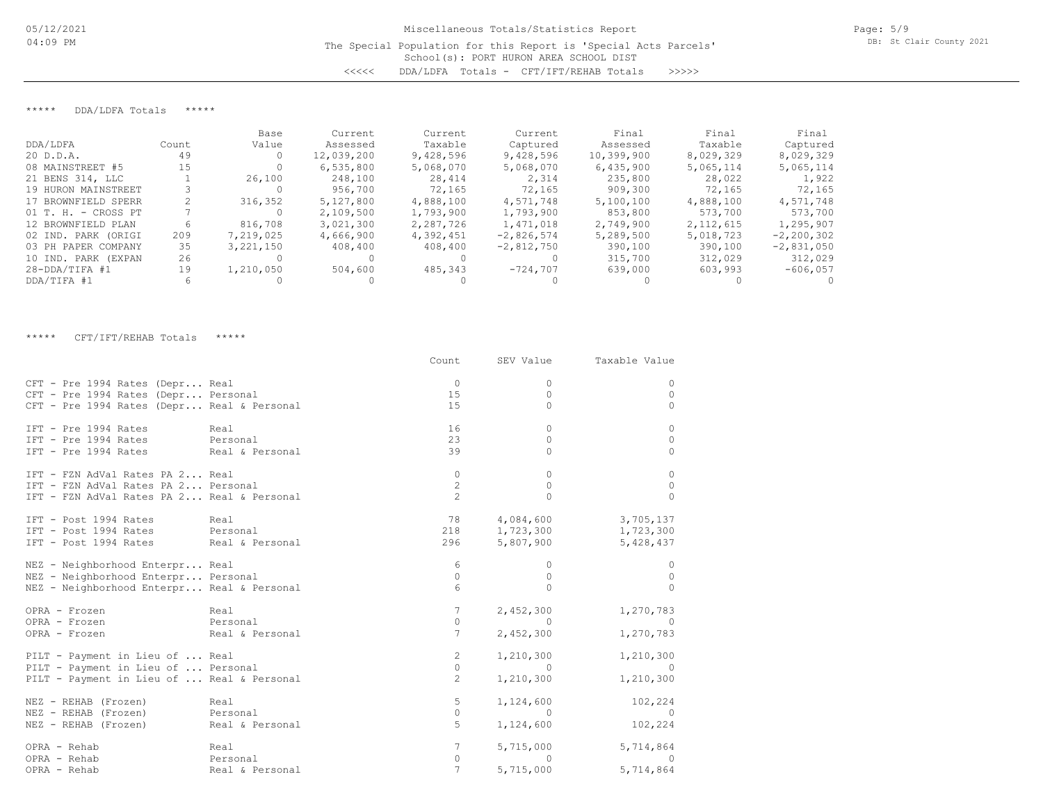<<<<< DDA/LDFA Totals - CFT/IFT/REHAB Totals >>>>>

\*\*\*\*\* DDA/LDFA Totals \*\*\*\*\*

|                       |       | Base        | Current    | Current   | Current      | Final      | Final       | Final          |
|-----------------------|-------|-------------|------------|-----------|--------------|------------|-------------|----------------|
| DDA/LDFA              | Count | Value       | Assessed   | Taxable   | Captured     | Assessed   | Taxable     | Captured       |
| 20 D.D.A.             | 49    |             | 12,039,200 | 9,428,596 | 9,428,596    | 10,399,900 | 8,029,329   | 8,029,329      |
| 08 MAINSTREET #5      | 15    |             | 6,535,800  | 5,068,070 | 5,068,070    | 6,435,900  | 5,065,114   | 5,065,114      |
| 21 BENS 314, LLC      |       | 26,100      | 248,100    | 28,414    | 2,314        | 235,800    | 28,022      | 1,922          |
| 19 HURON MAINSTREET   |       |             | 956,700    | 72,165    | 72,165       | 909,300    | 72,165      | 72,165         |
| 17 BROWNFIELD SPERR   |       | 316,352     | 5,127,800  | 4,888,100 | 4,571,748    | 5,100,100  | 4,888,100   | 4,571,748      |
| $01$ T. H. - CROSS PT |       |             | 2,109,500  | 1,793,900 | 1,793,900    | 853,800    | 573,700     | 573,700        |
| 12 BROWNFIELD PLAN    | 6     | 816,708     | 3,021,300  | 2,287,726 | 1,471,018    | 2,749,900  | 2, 112, 615 | 1,295,907      |
| 02 IND. PARK (ORIGI   | 209   | 7,219,025   | 4,666,900  | 4,392,451 | $-2,826,574$ | 5,289,500  | 5,018,723   | $-2, 200, 302$ |
| 03 PH PAPER COMPANY   | 35    | 3, 221, 150 | 408,400    | 408,400   | $-2,812,750$ | 390,100    | 390,100     | $-2,831,050$   |
| 10 IND. PARK (EXPAN   | 26    |             |            |           |              | 315,700    | 312,029     | 312,029        |
| $28 - DDA/TIFA$ #1    | 19    | 1,210,050   | 504,600    | 485,343   | $-724.707$   | 639,000    | 603,993     | $-606,057$     |
| DDA/TIFA #1           |       |             |            |           |              |            |             |                |

\*\*\*\*\* CFT/IFT/REHAB Totals \*\*\*\*\*

|                                                                                              |                 |                 |                                                     | Count SEV Value Taxable Value |
|----------------------------------------------------------------------------------------------|-----------------|-----------------|-----------------------------------------------------|-------------------------------|
| CFT - Pre 1994 Rates (Depr Real                                                              |                 | $\Omega$        | $\Omega$                                            | 0                             |
| CFT - Pre 1994 Rates (Depr Personal                                                          |                 | 15              | $\Omega$                                            | $\mathbf{0}$                  |
| CFT - Pre 1994 Rates (Depr Real & Personal                                                   |                 | 15              | $\Omega$                                            | $\Omega$                      |
|                                                                                              |                 |                 |                                                     |                               |
| IFT - Pre 1994 Rates Real                                                                    |                 | 16              | $\Omega$                                            | $\mathbf{0}$                  |
| IFT - Pre 1994 Rates Personal                                                                |                 | 23              | $\Omega$                                            | $\mathbf{0}$                  |
| IFT - Pre 1994 Rates Real & Personal                                                         |                 | 39              | $\Omega$                                            | $\Omega$                      |
| IFT - FZN AdVal Rates PA 2 Real                                                              |                 | $\circ$         | $\Omega$                                            | $\mathbf{0}$                  |
| IFT - FZN AdVal Rates PA 2 Personal                                                          |                 | 2               | $\circ$                                             | 0                             |
| IFT - FZN AdVal Rates PA 2 Real & Personal                                                   |                 | $\overline{2}$  | $\cap$                                              | $\Omega$                      |
|                                                                                              |                 |                 |                                                     |                               |
| IFT - Post 1994 Rates Real                                                                   |                 |                 |                                                     | 78 4,084,600 3,705,137        |
|                                                                                              |                 |                 |                                                     | 1,723,300                     |
| IFT - Post 1994 Rates Personal<br>IFT - Post 1994 Rates Real & Personal                      |                 |                 | 218 1,723,300<br>296 5,807,900                      | 5,428,437                     |
|                                                                                              |                 |                 |                                                     |                               |
| NEZ - Neighborhood Enterpr Real                                                              |                 | 6               | $\circ$                                             | 0                             |
| NEZ - Neighborhood Enterpr Personal                                                          |                 | $\overline{0}$  | $\circ$                                             | $\circ$                       |
| NEZ - Neighborhood Enterpr Real & Personal                                                   |                 | 6               | $\Omega$                                            | $\Omega$                      |
| OPRA - Frozen                                                                                | Real            | $7\overline{ }$ | 2,452,300                                           | 1,270,783                     |
| OPRA - Frozen                                                                                | Personal        | $\circ$         | $\overline{0}$                                      | $\overline{0}$                |
| OPRA - Frozen                                                                                | Real & Personal | $7\overline{ }$ | 2,452,300                                           | 1,270,783                     |
|                                                                                              |                 |                 |                                                     |                               |
| PILT - Payment in Lieu of  Real                                                              |                 | $\overline{2}$  | 1,210,300                                           | 1,210,300                     |
| PILT - Payment in Lieu of  Personal                                                          |                 | $\circ$         | 1000                                                | $\sim$ 0                      |
| PILT - Payment in Lieu of  Real & Personal                                                   |                 | $\overline{2}$  | 1,210,300                                           | 1,210,300                     |
|                                                                                              |                 | 5               | 1,124,600                                           | 102,224                       |
|                                                                                              |                 | $\circ$         | $\sim$ 0                                            | $\sim$ 0                      |
| NEZ - REHAB (Frozen)<br>NEZ - REHAB (Frozen) Personal<br>---- PERAB (Frozen) Real & Personal |                 | 5               | 1,124,600                                           | 102,224                       |
|                                                                                              |                 |                 |                                                     |                               |
| OPRA - Rehab                                                                                 | Real            | $7\phantom{.0}$ | 5,715,000                                           | 5,714,864                     |
| OPRA - Rehab                                                                                 | Personal        | $\circ$         |                                                     | $\overline{0}$                |
| OPRA - Rehab                                                                                 | Real & Personal | $\overline{7}$  | $\begin{array}{cc}\n & 0 \\ 5,715,000\n\end{array}$ | 5,714,864                     |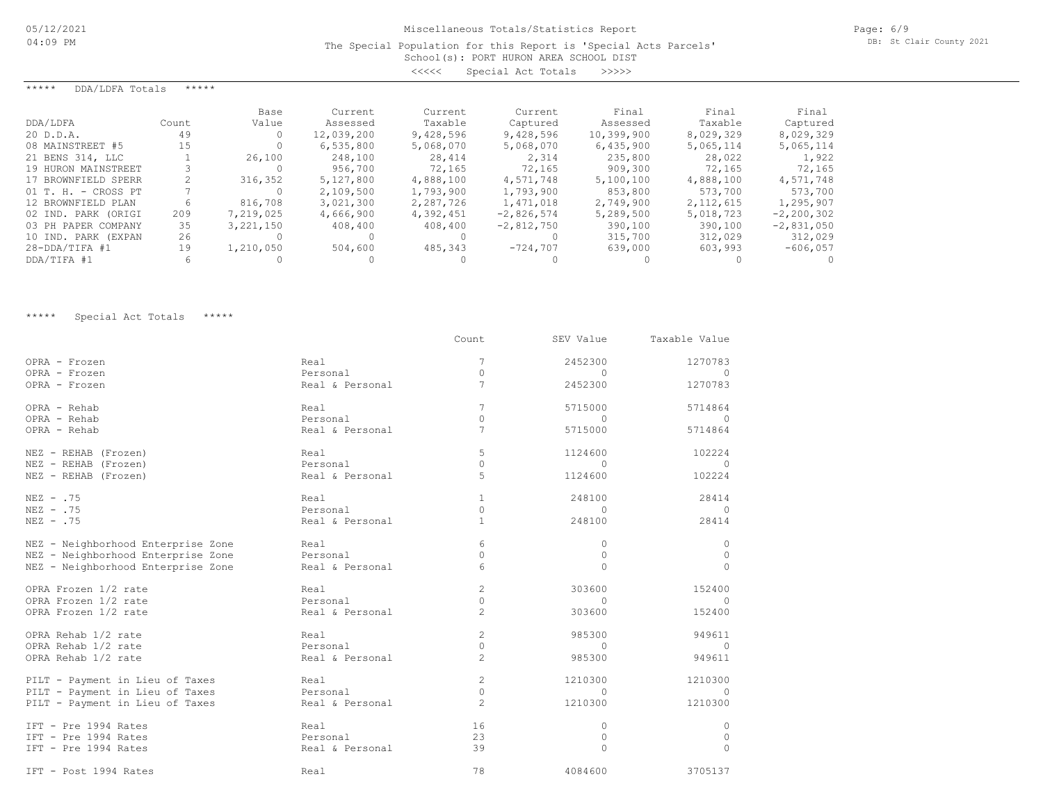The Special Population for this Report is 'Special Acts Parcels'

| School(s): PORT HURON AREA SCHOOL DIST |                    |  |  |       |
|----------------------------------------|--------------------|--|--|-------|
| くくくくく                                  | Special Act Totals |  |  | >>>>> |

| *****<br>DDA/LDFA Totals | ***** |             |            |           |              |            |             |              |
|--------------------------|-------|-------------|------------|-----------|--------------|------------|-------------|--------------|
|                          |       | Base        | Current    | Current   | Current      | Final      | Final       | Final        |
| DDA/LDFA                 | Count | Value       | Assessed   | Taxable   | Captured     | Assessed   | Taxable     | Captured     |
| 20 D.D.A.                | 49    |             | 12,039,200 | 9,428,596 | 9,428,596    | 10,399,900 | 8,029,329   | 8,029,329    |
| 08 MAINSTREET #5         | 15    |             | 6,535,800  | 5,068,070 | 5,068,070    | 6,435,900  | 5,065,114   | 5,065,114    |
| 21 BENS 314, LLC         |       | 26,100      | 248,100    | 28,414    | 2,314        | 235,800    | 28,022      | 1,922        |
| 19 HURON MAINSTREET      |       |             | 956,700    | 72,165    | 72,165       | 909,300    | 72,165      | 72,165       |
| 17 BROWNFIELD SPERR      |       | 316,352     | 5,127,800  | 4,888,100 | 4,571,748    | 5,100,100  | 4,888,100   | 4,571,748    |
| $01$ T. H. - CROSS PT    |       |             | 2,109,500  | 1,793,900 | 1,793,900    | 853,800    | 573,700     | 573,700      |
| 12 BROWNFIELD PLAN       | 6     | 816,708     | 3,021,300  | 2,287,726 | 1,471,018    | 2,749,900  | 2, 112, 615 | 1,295,907    |
| 02 IND. PARK (ORIGI      | 209   | 7,219,025   | 4,666,900  | 4,392,451 | $-2,826,574$ | 5,289,500  | 5,018,723   | $-2,200,302$ |
| 03 PH PAPER COMPANY      | 35    | 3, 221, 150 | 408,400    | 408,400   | $-2,812,750$ | 390,100    | 390,100     | $-2,831,050$ |
| 10 IND. PARK (EXPAN      | 26    |             |            |           |              | 315,700    | 312,029     | 312,029      |
| $28 - DDA/TIFA$ #1       | 19    | 1,210,050   | 504,600    | 485,343   | $-724,707$   | 639,000    | 603,993     | $-606,057$   |
| DDA/TIFA #1              | 6     |             |            |           |              |            |             |              |

\*\*\*\*\* Special Act Totals \*\*\*\*\*

|                                    |                 | Count          | SEV Value    | Taxable Value |
|------------------------------------|-----------------|----------------|--------------|---------------|
| OPRA - Frozen                      | Real            | 7              | 2452300      | 1270783       |
| OPRA - Frozen                      | Personal        | $\Omega$       | $\Omega$     | $\Omega$      |
| OPRA - Frozen                      | Real & Personal | 7              | 2452300      | 1270783       |
| OPRA - Rehab                       | Real            | 7              | 5715000      | 5714864       |
| OPRA - Rehab                       | Personal        | $\Omega$       | $\Omega$     | $\Omega$      |
| OPRA - Rehab                       | Real & Personal | 7              | 5715000      | 5714864       |
| NEZ - REHAB (Frozen)               | Real            | 5              | 1124600      | 102224        |
| NEZ - REHAB (Frozen)               | Personal        | 0              | $\Omega$     | 0             |
| NEZ - REHAB (Frozen)               | Real & Personal | 5              | 1124600      | 102224        |
| $NEZ - .75$                        | Real            | $\mathbf{1}$   | 248100       | 28414         |
| $NEZ - .75$                        | Personal        | $\Omega$       | $\Omega$     | $\Omega$      |
| $NEZ - .75$                        | Real & Personal | $\mathbf{1}$   | 248100       | 28414         |
| NEZ - Neighborhood Enterprise Zone | Real            | 6              | $\mathbf{0}$ | 0             |
| NEZ - Neighborhood Enterprise Zone | Personal        | $\Omega$       | $\Omega$     | $\Omega$      |
| NEZ - Neighborhood Enterprise Zone | Real & Personal | 6              | $\Omega$     | $\bigcap$     |
| OPRA Frozen 1/2 rate               | Real            | $\overline{c}$ | 303600       | 152400        |
| OPRA Frozen 1/2 rate               | Personal        | 0              | $\mathbf{0}$ | $\Omega$      |
| OPRA Frozen 1/2 rate               | Real & Personal | $\overline{c}$ | 303600       | 152400        |
| OPRA Rehab 1/2 rate                | Real            | $\overline{c}$ | 985300       | 949611        |
| OPRA Rehab 1/2 rate                | Personal        | $\Omega$       | $\Omega$     | $\Omega$      |
| OPRA Rehab 1/2 rate                | Real & Personal | $\overline{c}$ | 985300       | 949611        |
| PILT - Payment in Lieu of Taxes    | Real            | 2              | 1210300      | 1210300       |
| PILT - Payment in Lieu of Taxes    | Personal        | $\Omega$       | $\Omega$     | $\Omega$      |
| PILT - Payment in Lieu of Taxes    | Real & Personal | $\overline{2}$ | 1210300      | 1210300       |
| IFT - Pre 1994 Rates               | Real            | 16             | $\mathbf{0}$ | 0             |
| IFT - Pre 1994 Rates               | Personal        | 23             | $\mathbf{0}$ | 0             |
| IFT - Pre 1994 Rates               | Real & Personal | 39             | $\Omega$     | $\Omega$      |
| IFT - Post 1994 Rates              | Real            | 78             | 4084600      | 3705137       |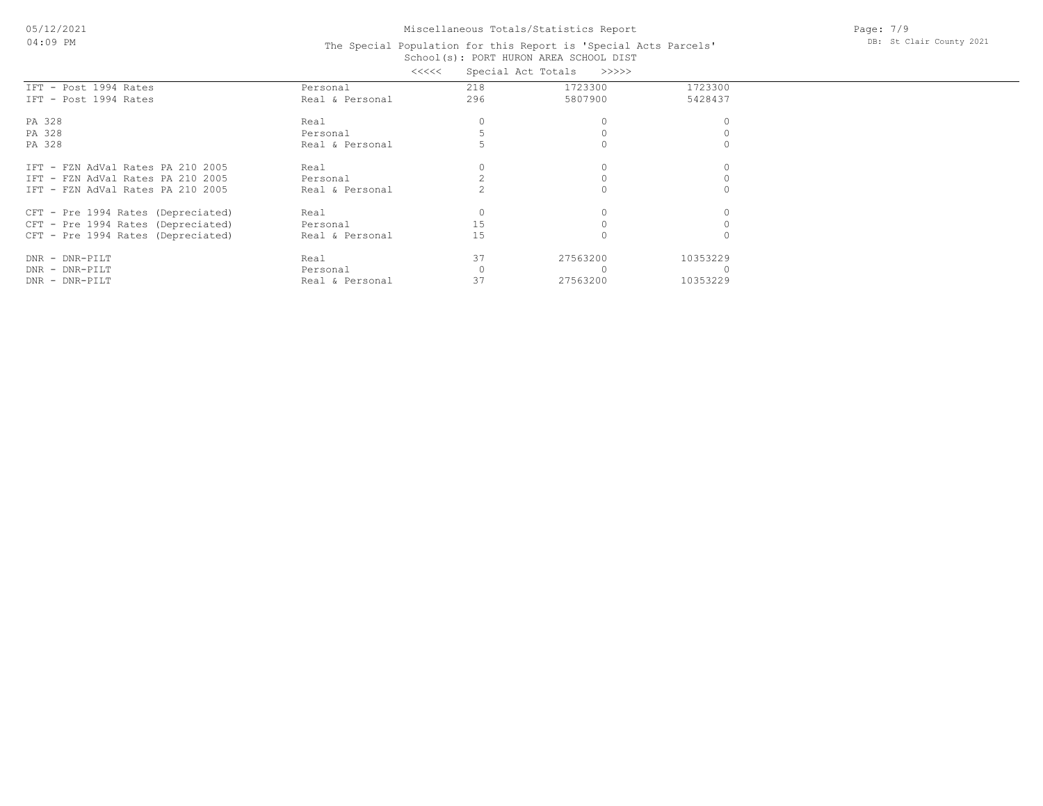Page: 7/9 DB: St Clair County 2021

#### School(s): PORT HURON AREA SCHOOL DIST The Special Population for this Report is 'Special Acts Parcels' <<<<< Special Act Totals >>>>>

|                                    | くくくくく           |     | Special ACT TOTAIS<br>--->>>> |          |  |
|------------------------------------|-----------------|-----|-------------------------------|----------|--|
| IFT - Post 1994 Rates              | Personal        | 218 | 1723300                       | 1723300  |  |
| IFT - Post 1994 Rates              | Real & Personal | 296 | 5807900                       | 5428437  |  |
| PA 328                             | Real            |     |                               |          |  |
| PA 328                             | Personal        |     |                               |          |  |
| PA 328                             | Real & Personal |     |                               |          |  |
| IFT - FZN AdVal Rates PA 210 2005  | Real            |     |                               |          |  |
| IFT - FZN AdVal Rates PA 210 2005  | Personal        |     |                               |          |  |
| IFT - FZN AdVal Rates PA 210 2005  | Real & Personal |     |                               |          |  |
| CFT - Pre 1994 Rates (Depreciated) | Real            |     |                               |          |  |
| CFT - Pre 1994 Rates (Depreciated) | Personal        | 15  |                               |          |  |
| CFT - Pre 1994 Rates (Depreciated) | Real & Personal | 15  |                               |          |  |
| DNR - DNR-PILT                     | Real            | 37  | 27563200                      | 10353229 |  |
| DNR - DNR-PILT                     | Personal        |     |                               |          |  |
| DNR - DNR-PILT                     | Real & Personal | 37  | 27563200                      | 10353229 |  |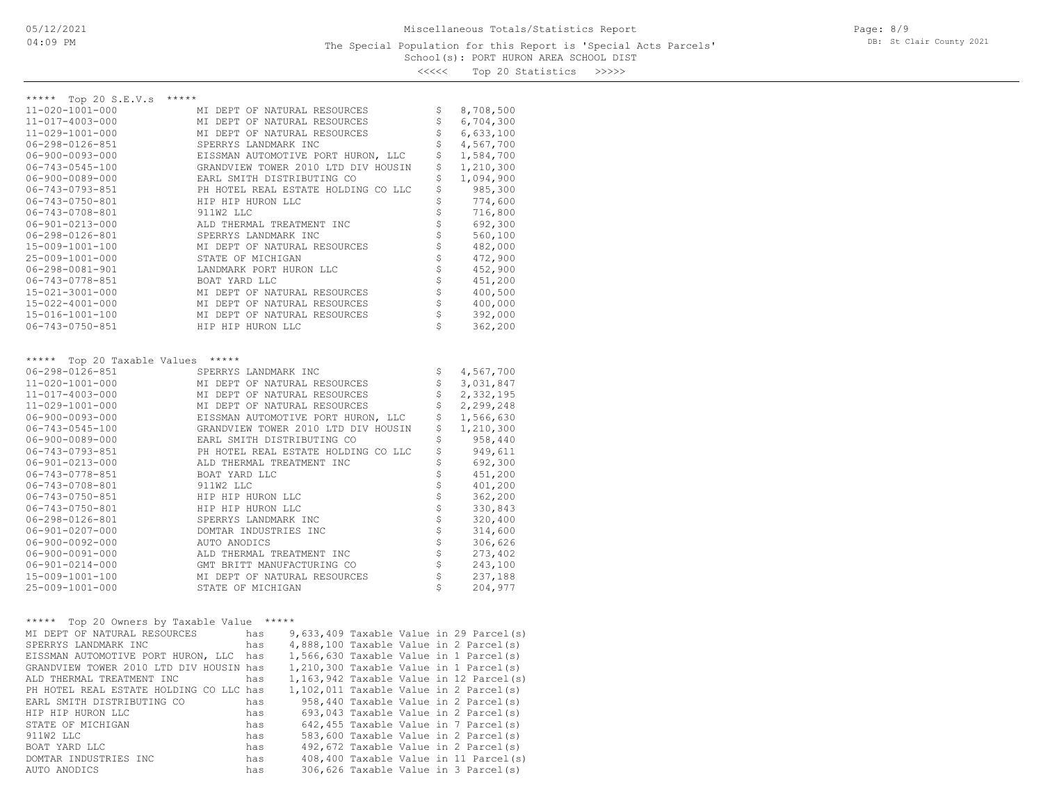<<<<< Top 20 Statistics >>>>>

| ***** Top 20 S.E.V.s<br>*****<br>11-020-1001-000<br>MI DEPT OF NATURAL RESOURCES<br>\$<br>8,708,500<br>\$<br>6,704,300<br>11-017-4003-000<br>MI DEPT OF NATURAL RESOURCES<br>\$<br>6,633,100<br>11-029-1001-000<br>MI DEPT OF NATURAL RESOURCES<br>\$<br>SPERRYS LANDMARK INC<br>4,567,700<br>06-298-0126-851<br>\$<br>1,584,700<br>$06 - 900 - 0093 - 000$<br>EISSMAN AUTOMOTIVE PORT HURON, LLC<br>\$<br>GRANDVIEW TOWER 2010 LTD DIV HOUSIN<br>1,210,300<br>06-743-0545-100<br>\$<br>1,094,900<br>06-900-0089-000<br>EARL SMITH DISTRIBUTING CO<br>\$<br>PH HOTEL REAL ESTATE HOLDING CO LLC<br>985,300<br>06-743-0793-851<br>\$<br>06-743-0750-801<br>HIP HIP HURON LLC<br>774,600<br>\$<br>06-743-0708-801<br>911W2 LLC<br>716,800<br>\$<br>692,300<br>06-901-0213-000<br>ALD THERMAL TREATMENT INC<br>$06 - 298 - 0126 - 801$<br>SPERRYS LANDMARK INC<br>560,100<br>\$<br>15-009-1001-100<br>MI DEPT OF NATURAL RESOURCES<br>482,000<br>\$<br>25-009-1001-000<br>STATE OF MICHIGAN<br>472,900<br>$\frac{5}{2}$<br>LANDMARK PORT HURON LLC<br>$06 - 298 - 0081 - 901$<br>452,900<br>451,200<br>06-743-0778-851<br>BOAT YARD LLC<br>\$<br>MI DEPT OF NATURAL RESOURCES<br>400,500<br>15-021-3001-000<br>\$<br>15-022-4001-000<br>MI DEPT OF NATURAL RESOURCES<br>400,000<br>\$<br>15-016-1001-100<br>MI DEPT OF NATURAL RESOURCES<br>392,000<br>\$<br>06-743-0750-851<br>HIP HIP HURON LLC<br>362,200<br>***** Top 20 Taxable Values *****<br>4,567,700<br>06-298-0126-851<br>SPERRYS LANDMARK INC<br>Ş<br>\$<br>MI DEPT OF NATURAL RESOURCES<br>3,031,847<br>11-020-1001-000<br>\$<br>2,332,195<br>11-017-4003-000<br>MI DEPT OF NATURAL RESOURCES<br>\$<br>11-029-1001-000<br>MI DEPT OF NATURAL RESOURCES<br>2,299,248<br>\$<br>1,566,630<br>$06 - 900 - 0093 - 000$<br>EISSMAN AUTOMOTIVE PORT HURON, LLC<br>\$<br>GRANDVIEW TOWER 2010 LTD DIV HOUSIN<br>1,210,300<br>06-743-0545-100<br>\$<br>958,440<br>06-900-0089-000<br>EARL SMITH DISTRIBUTING CO<br>\$<br>06-743-0793-851<br>PH HOTEL REAL ESTATE HOLDING CO LLC<br>949,611<br>\$<br>ALD THERMAL TREATMENT INC<br>692,300<br>06-901-0213-000<br>\$\$\$\$\$\$\$\$\$<br>06-743-0778-851<br>BOAT YARD LLC<br>451,200<br>06-743-0708-801<br>911W2 LLC<br>401,200<br>06-743-0750-851<br>HIP HIP HURON LLC<br>362,200<br>06-743-0750-801<br>HIP HIP HURON LLC<br>330,843<br>06-298-0126-801<br>SPERRYS LANDMARK INC<br>320,400<br>06-901-0207-000<br>DOMTAR INDUSTRIES INC<br>314,600<br>\$<br>$06 - 900 - 0092 - 000$<br>AUTO ANODICS<br>306,626<br>\$<br>06-900-0091-000<br>ALD THERMAL TREATMENT INC<br>273,402<br>$06 - 901 - 0214 - 000$<br>GMT BRITT MANUFACTURING CO<br>243,100<br>\$<br>MI DEPT OF NATURAL RESOURCES<br>237,188<br>15-009-1001-100<br>\$<br>204,977<br>25-009-1001-000<br>STATE OF MICHIGAN<br>***** Top 20 Owners by Taxable Value<br>$***$ * * * *<br>9,633,409 Taxable Value in 29 Parcel(s)<br>MI DEPT OF NATURAL RESOURCES<br>has<br>4,888,100 Taxable Value in 2 Parcel(s)<br>SPERRYS LANDMARK INC<br>has<br>EISSMAN AUTOMOTIVE PORT HURON, LLC has<br>1,566,630 Taxable Value in 1 Parcel(s)<br>GRANDVIEW TOWER 2010 LTD DIV HOUSIN has<br>1,210,300 Taxable Value in 1 Parcel(s)<br>ALD THERMAL TREATMENT INC<br>1,163,942 Taxable Value in 12 Parcel(s)<br>has<br>PH HOTEL REAL ESTATE HOLDING CO LLC has<br>1,102,011 Taxable Value in 2 Parcel(s)<br>958,440 Taxable Value in 2 Parcel(s)<br>EARL SMITH DISTRIBUTING CO<br>has<br>HIP HIP HURON LLC<br>693,043 Taxable Value in 2 Parcel(s)<br>has<br>642,455 Taxable Value in 7 Parcel(s)<br>STATE OF MICHIGAN<br>has<br>911W2 LLC<br>583,600 Taxable Value in 2 Parcel(s)<br>has<br>492,672 Taxable Value in 2 Parcel(s)<br>BOAT YARD LLC<br>has<br>408,400 Taxable Value in 11 Parcel(s)<br>DOMTAR INDUSTRIES INC<br>has<br>306,626 Taxable Value in 3 Parcel(s)<br>AUTO ANODICS<br>has |  |  |  |  |
|-----------------------------------------------------------------------------------------------------------------------------------------------------------------------------------------------------------------------------------------------------------------------------------------------------------------------------------------------------------------------------------------------------------------------------------------------------------------------------------------------------------------------------------------------------------------------------------------------------------------------------------------------------------------------------------------------------------------------------------------------------------------------------------------------------------------------------------------------------------------------------------------------------------------------------------------------------------------------------------------------------------------------------------------------------------------------------------------------------------------------------------------------------------------------------------------------------------------------------------------------------------------------------------------------------------------------------------------------------------------------------------------------------------------------------------------------------------------------------------------------------------------------------------------------------------------------------------------------------------------------------------------------------------------------------------------------------------------------------------------------------------------------------------------------------------------------------------------------------------------------------------------------------------------------------------------------------------------------------------------------------------------------------------------------------------------------------------------------------------------------------------------------------------------------------------------------------------------------------------------------------------------------------------------------------------------------------------------------------------------------------------------------------------------------------------------------------------------------------------------------------------------------------------------------------------------------------------------------------------------------------------------------------------------------------------------------------------------------------------------------------------------------------------------------------------------------------------------------------------------------------------------------------------------------------------------------------------------------------------------------------------------------------------------------------------------------------------------------------------------------------------------------------------------------------------------------------------------------------------------------------------------------------------------------------------------------------------------------------------------------------------------------------------------------------------------------------------------------------------------------------------------------------------------------------------------------------------------------------------------------------------------------------------------------------------------------------------------------------------------------------------------------------------------------------------------------------------------|--|--|--|--|
|                                                                                                                                                                                                                                                                                                                                                                                                                                                                                                                                                                                                                                                                                                                                                                                                                                                                                                                                                                                                                                                                                                                                                                                                                                                                                                                                                                                                                                                                                                                                                                                                                                                                                                                                                                                                                                                                                                                                                                                                                                                                                                                                                                                                                                                                                                                                                                                                                                                                                                                                                                                                                                                                                                                                                                                                                                                                                                                                                                                                                                                                                                                                                                                                                                                                                                                                                                                                                                                                                                                                                                                                                                                                                                                                                                                                                                         |  |  |  |  |
|                                                                                                                                                                                                                                                                                                                                                                                                                                                                                                                                                                                                                                                                                                                                                                                                                                                                                                                                                                                                                                                                                                                                                                                                                                                                                                                                                                                                                                                                                                                                                                                                                                                                                                                                                                                                                                                                                                                                                                                                                                                                                                                                                                                                                                                                                                                                                                                                                                                                                                                                                                                                                                                                                                                                                                                                                                                                                                                                                                                                                                                                                                                                                                                                                                                                                                                                                                                                                                                                                                                                                                                                                                                                                                                                                                                                                                         |  |  |  |  |
|                                                                                                                                                                                                                                                                                                                                                                                                                                                                                                                                                                                                                                                                                                                                                                                                                                                                                                                                                                                                                                                                                                                                                                                                                                                                                                                                                                                                                                                                                                                                                                                                                                                                                                                                                                                                                                                                                                                                                                                                                                                                                                                                                                                                                                                                                                                                                                                                                                                                                                                                                                                                                                                                                                                                                                                                                                                                                                                                                                                                                                                                                                                                                                                                                                                                                                                                                                                                                                                                                                                                                                                                                                                                                                                                                                                                                                         |  |  |  |  |
|                                                                                                                                                                                                                                                                                                                                                                                                                                                                                                                                                                                                                                                                                                                                                                                                                                                                                                                                                                                                                                                                                                                                                                                                                                                                                                                                                                                                                                                                                                                                                                                                                                                                                                                                                                                                                                                                                                                                                                                                                                                                                                                                                                                                                                                                                                                                                                                                                                                                                                                                                                                                                                                                                                                                                                                                                                                                                                                                                                                                                                                                                                                                                                                                                                                                                                                                                                                                                                                                                                                                                                                                                                                                                                                                                                                                                                         |  |  |  |  |
|                                                                                                                                                                                                                                                                                                                                                                                                                                                                                                                                                                                                                                                                                                                                                                                                                                                                                                                                                                                                                                                                                                                                                                                                                                                                                                                                                                                                                                                                                                                                                                                                                                                                                                                                                                                                                                                                                                                                                                                                                                                                                                                                                                                                                                                                                                                                                                                                                                                                                                                                                                                                                                                                                                                                                                                                                                                                                                                                                                                                                                                                                                                                                                                                                                                                                                                                                                                                                                                                                                                                                                                                                                                                                                                                                                                                                                         |  |  |  |  |
|                                                                                                                                                                                                                                                                                                                                                                                                                                                                                                                                                                                                                                                                                                                                                                                                                                                                                                                                                                                                                                                                                                                                                                                                                                                                                                                                                                                                                                                                                                                                                                                                                                                                                                                                                                                                                                                                                                                                                                                                                                                                                                                                                                                                                                                                                                                                                                                                                                                                                                                                                                                                                                                                                                                                                                                                                                                                                                                                                                                                                                                                                                                                                                                                                                                                                                                                                                                                                                                                                                                                                                                                                                                                                                                                                                                                                                         |  |  |  |  |
|                                                                                                                                                                                                                                                                                                                                                                                                                                                                                                                                                                                                                                                                                                                                                                                                                                                                                                                                                                                                                                                                                                                                                                                                                                                                                                                                                                                                                                                                                                                                                                                                                                                                                                                                                                                                                                                                                                                                                                                                                                                                                                                                                                                                                                                                                                                                                                                                                                                                                                                                                                                                                                                                                                                                                                                                                                                                                                                                                                                                                                                                                                                                                                                                                                                                                                                                                                                                                                                                                                                                                                                                                                                                                                                                                                                                                                         |  |  |  |  |
|                                                                                                                                                                                                                                                                                                                                                                                                                                                                                                                                                                                                                                                                                                                                                                                                                                                                                                                                                                                                                                                                                                                                                                                                                                                                                                                                                                                                                                                                                                                                                                                                                                                                                                                                                                                                                                                                                                                                                                                                                                                                                                                                                                                                                                                                                                                                                                                                                                                                                                                                                                                                                                                                                                                                                                                                                                                                                                                                                                                                                                                                                                                                                                                                                                                                                                                                                                                                                                                                                                                                                                                                                                                                                                                                                                                                                                         |  |  |  |  |
|                                                                                                                                                                                                                                                                                                                                                                                                                                                                                                                                                                                                                                                                                                                                                                                                                                                                                                                                                                                                                                                                                                                                                                                                                                                                                                                                                                                                                                                                                                                                                                                                                                                                                                                                                                                                                                                                                                                                                                                                                                                                                                                                                                                                                                                                                                                                                                                                                                                                                                                                                                                                                                                                                                                                                                                                                                                                                                                                                                                                                                                                                                                                                                                                                                                                                                                                                                                                                                                                                                                                                                                                                                                                                                                                                                                                                                         |  |  |  |  |
|                                                                                                                                                                                                                                                                                                                                                                                                                                                                                                                                                                                                                                                                                                                                                                                                                                                                                                                                                                                                                                                                                                                                                                                                                                                                                                                                                                                                                                                                                                                                                                                                                                                                                                                                                                                                                                                                                                                                                                                                                                                                                                                                                                                                                                                                                                                                                                                                                                                                                                                                                                                                                                                                                                                                                                                                                                                                                                                                                                                                                                                                                                                                                                                                                                                                                                                                                                                                                                                                                                                                                                                                                                                                                                                                                                                                                                         |  |  |  |  |
|                                                                                                                                                                                                                                                                                                                                                                                                                                                                                                                                                                                                                                                                                                                                                                                                                                                                                                                                                                                                                                                                                                                                                                                                                                                                                                                                                                                                                                                                                                                                                                                                                                                                                                                                                                                                                                                                                                                                                                                                                                                                                                                                                                                                                                                                                                                                                                                                                                                                                                                                                                                                                                                                                                                                                                                                                                                                                                                                                                                                                                                                                                                                                                                                                                                                                                                                                                                                                                                                                                                                                                                                                                                                                                                                                                                                                                         |  |  |  |  |
|                                                                                                                                                                                                                                                                                                                                                                                                                                                                                                                                                                                                                                                                                                                                                                                                                                                                                                                                                                                                                                                                                                                                                                                                                                                                                                                                                                                                                                                                                                                                                                                                                                                                                                                                                                                                                                                                                                                                                                                                                                                                                                                                                                                                                                                                                                                                                                                                                                                                                                                                                                                                                                                                                                                                                                                                                                                                                                                                                                                                                                                                                                                                                                                                                                                                                                                                                                                                                                                                                                                                                                                                                                                                                                                                                                                                                                         |  |  |  |  |
|                                                                                                                                                                                                                                                                                                                                                                                                                                                                                                                                                                                                                                                                                                                                                                                                                                                                                                                                                                                                                                                                                                                                                                                                                                                                                                                                                                                                                                                                                                                                                                                                                                                                                                                                                                                                                                                                                                                                                                                                                                                                                                                                                                                                                                                                                                                                                                                                                                                                                                                                                                                                                                                                                                                                                                                                                                                                                                                                                                                                                                                                                                                                                                                                                                                                                                                                                                                                                                                                                                                                                                                                                                                                                                                                                                                                                                         |  |  |  |  |
|                                                                                                                                                                                                                                                                                                                                                                                                                                                                                                                                                                                                                                                                                                                                                                                                                                                                                                                                                                                                                                                                                                                                                                                                                                                                                                                                                                                                                                                                                                                                                                                                                                                                                                                                                                                                                                                                                                                                                                                                                                                                                                                                                                                                                                                                                                                                                                                                                                                                                                                                                                                                                                                                                                                                                                                                                                                                                                                                                                                                                                                                                                                                                                                                                                                                                                                                                                                                                                                                                                                                                                                                                                                                                                                                                                                                                                         |  |  |  |  |
|                                                                                                                                                                                                                                                                                                                                                                                                                                                                                                                                                                                                                                                                                                                                                                                                                                                                                                                                                                                                                                                                                                                                                                                                                                                                                                                                                                                                                                                                                                                                                                                                                                                                                                                                                                                                                                                                                                                                                                                                                                                                                                                                                                                                                                                                                                                                                                                                                                                                                                                                                                                                                                                                                                                                                                                                                                                                                                                                                                                                                                                                                                                                                                                                                                                                                                                                                                                                                                                                                                                                                                                                                                                                                                                                                                                                                                         |  |  |  |  |
|                                                                                                                                                                                                                                                                                                                                                                                                                                                                                                                                                                                                                                                                                                                                                                                                                                                                                                                                                                                                                                                                                                                                                                                                                                                                                                                                                                                                                                                                                                                                                                                                                                                                                                                                                                                                                                                                                                                                                                                                                                                                                                                                                                                                                                                                                                                                                                                                                                                                                                                                                                                                                                                                                                                                                                                                                                                                                                                                                                                                                                                                                                                                                                                                                                                                                                                                                                                                                                                                                                                                                                                                                                                                                                                                                                                                                                         |  |  |  |  |
|                                                                                                                                                                                                                                                                                                                                                                                                                                                                                                                                                                                                                                                                                                                                                                                                                                                                                                                                                                                                                                                                                                                                                                                                                                                                                                                                                                                                                                                                                                                                                                                                                                                                                                                                                                                                                                                                                                                                                                                                                                                                                                                                                                                                                                                                                                                                                                                                                                                                                                                                                                                                                                                                                                                                                                                                                                                                                                                                                                                                                                                                                                                                                                                                                                                                                                                                                                                                                                                                                                                                                                                                                                                                                                                                                                                                                                         |  |  |  |  |
|                                                                                                                                                                                                                                                                                                                                                                                                                                                                                                                                                                                                                                                                                                                                                                                                                                                                                                                                                                                                                                                                                                                                                                                                                                                                                                                                                                                                                                                                                                                                                                                                                                                                                                                                                                                                                                                                                                                                                                                                                                                                                                                                                                                                                                                                                                                                                                                                                                                                                                                                                                                                                                                                                                                                                                                                                                                                                                                                                                                                                                                                                                                                                                                                                                                                                                                                                                                                                                                                                                                                                                                                                                                                                                                                                                                                                                         |  |  |  |  |
|                                                                                                                                                                                                                                                                                                                                                                                                                                                                                                                                                                                                                                                                                                                                                                                                                                                                                                                                                                                                                                                                                                                                                                                                                                                                                                                                                                                                                                                                                                                                                                                                                                                                                                                                                                                                                                                                                                                                                                                                                                                                                                                                                                                                                                                                                                                                                                                                                                                                                                                                                                                                                                                                                                                                                                                                                                                                                                                                                                                                                                                                                                                                                                                                                                                                                                                                                                                                                                                                                                                                                                                                                                                                                                                                                                                                                                         |  |  |  |  |
|                                                                                                                                                                                                                                                                                                                                                                                                                                                                                                                                                                                                                                                                                                                                                                                                                                                                                                                                                                                                                                                                                                                                                                                                                                                                                                                                                                                                                                                                                                                                                                                                                                                                                                                                                                                                                                                                                                                                                                                                                                                                                                                                                                                                                                                                                                                                                                                                                                                                                                                                                                                                                                                                                                                                                                                                                                                                                                                                                                                                                                                                                                                                                                                                                                                                                                                                                                                                                                                                                                                                                                                                                                                                                                                                                                                                                                         |  |  |  |  |
|                                                                                                                                                                                                                                                                                                                                                                                                                                                                                                                                                                                                                                                                                                                                                                                                                                                                                                                                                                                                                                                                                                                                                                                                                                                                                                                                                                                                                                                                                                                                                                                                                                                                                                                                                                                                                                                                                                                                                                                                                                                                                                                                                                                                                                                                                                                                                                                                                                                                                                                                                                                                                                                                                                                                                                                                                                                                                                                                                                                                                                                                                                                                                                                                                                                                                                                                                                                                                                                                                                                                                                                                                                                                                                                                                                                                                                         |  |  |  |  |
|                                                                                                                                                                                                                                                                                                                                                                                                                                                                                                                                                                                                                                                                                                                                                                                                                                                                                                                                                                                                                                                                                                                                                                                                                                                                                                                                                                                                                                                                                                                                                                                                                                                                                                                                                                                                                                                                                                                                                                                                                                                                                                                                                                                                                                                                                                                                                                                                                                                                                                                                                                                                                                                                                                                                                                                                                                                                                                                                                                                                                                                                                                                                                                                                                                                                                                                                                                                                                                                                                                                                                                                                                                                                                                                                                                                                                                         |  |  |  |  |
|                                                                                                                                                                                                                                                                                                                                                                                                                                                                                                                                                                                                                                                                                                                                                                                                                                                                                                                                                                                                                                                                                                                                                                                                                                                                                                                                                                                                                                                                                                                                                                                                                                                                                                                                                                                                                                                                                                                                                                                                                                                                                                                                                                                                                                                                                                                                                                                                                                                                                                                                                                                                                                                                                                                                                                                                                                                                                                                                                                                                                                                                                                                                                                                                                                                                                                                                                                                                                                                                                                                                                                                                                                                                                                                                                                                                                                         |  |  |  |  |
|                                                                                                                                                                                                                                                                                                                                                                                                                                                                                                                                                                                                                                                                                                                                                                                                                                                                                                                                                                                                                                                                                                                                                                                                                                                                                                                                                                                                                                                                                                                                                                                                                                                                                                                                                                                                                                                                                                                                                                                                                                                                                                                                                                                                                                                                                                                                                                                                                                                                                                                                                                                                                                                                                                                                                                                                                                                                                                                                                                                                                                                                                                                                                                                                                                                                                                                                                                                                                                                                                                                                                                                                                                                                                                                                                                                                                                         |  |  |  |  |
|                                                                                                                                                                                                                                                                                                                                                                                                                                                                                                                                                                                                                                                                                                                                                                                                                                                                                                                                                                                                                                                                                                                                                                                                                                                                                                                                                                                                                                                                                                                                                                                                                                                                                                                                                                                                                                                                                                                                                                                                                                                                                                                                                                                                                                                                                                                                                                                                                                                                                                                                                                                                                                                                                                                                                                                                                                                                                                                                                                                                                                                                                                                                                                                                                                                                                                                                                                                                                                                                                                                                                                                                                                                                                                                                                                                                                                         |  |  |  |  |
|                                                                                                                                                                                                                                                                                                                                                                                                                                                                                                                                                                                                                                                                                                                                                                                                                                                                                                                                                                                                                                                                                                                                                                                                                                                                                                                                                                                                                                                                                                                                                                                                                                                                                                                                                                                                                                                                                                                                                                                                                                                                                                                                                                                                                                                                                                                                                                                                                                                                                                                                                                                                                                                                                                                                                                                                                                                                                                                                                                                                                                                                                                                                                                                                                                                                                                                                                                                                                                                                                                                                                                                                                                                                                                                                                                                                                                         |  |  |  |  |
|                                                                                                                                                                                                                                                                                                                                                                                                                                                                                                                                                                                                                                                                                                                                                                                                                                                                                                                                                                                                                                                                                                                                                                                                                                                                                                                                                                                                                                                                                                                                                                                                                                                                                                                                                                                                                                                                                                                                                                                                                                                                                                                                                                                                                                                                                                                                                                                                                                                                                                                                                                                                                                                                                                                                                                                                                                                                                                                                                                                                                                                                                                                                                                                                                                                                                                                                                                                                                                                                                                                                                                                                                                                                                                                                                                                                                                         |  |  |  |  |
|                                                                                                                                                                                                                                                                                                                                                                                                                                                                                                                                                                                                                                                                                                                                                                                                                                                                                                                                                                                                                                                                                                                                                                                                                                                                                                                                                                                                                                                                                                                                                                                                                                                                                                                                                                                                                                                                                                                                                                                                                                                                                                                                                                                                                                                                                                                                                                                                                                                                                                                                                                                                                                                                                                                                                                                                                                                                                                                                                                                                                                                                                                                                                                                                                                                                                                                                                                                                                                                                                                                                                                                                                                                                                                                                                                                                                                         |  |  |  |  |
|                                                                                                                                                                                                                                                                                                                                                                                                                                                                                                                                                                                                                                                                                                                                                                                                                                                                                                                                                                                                                                                                                                                                                                                                                                                                                                                                                                                                                                                                                                                                                                                                                                                                                                                                                                                                                                                                                                                                                                                                                                                                                                                                                                                                                                                                                                                                                                                                                                                                                                                                                                                                                                                                                                                                                                                                                                                                                                                                                                                                                                                                                                                                                                                                                                                                                                                                                                                                                                                                                                                                                                                                                                                                                                                                                                                                                                         |  |  |  |  |
|                                                                                                                                                                                                                                                                                                                                                                                                                                                                                                                                                                                                                                                                                                                                                                                                                                                                                                                                                                                                                                                                                                                                                                                                                                                                                                                                                                                                                                                                                                                                                                                                                                                                                                                                                                                                                                                                                                                                                                                                                                                                                                                                                                                                                                                                                                                                                                                                                                                                                                                                                                                                                                                                                                                                                                                                                                                                                                                                                                                                                                                                                                                                                                                                                                                                                                                                                                                                                                                                                                                                                                                                                                                                                                                                                                                                                                         |  |  |  |  |
|                                                                                                                                                                                                                                                                                                                                                                                                                                                                                                                                                                                                                                                                                                                                                                                                                                                                                                                                                                                                                                                                                                                                                                                                                                                                                                                                                                                                                                                                                                                                                                                                                                                                                                                                                                                                                                                                                                                                                                                                                                                                                                                                                                                                                                                                                                                                                                                                                                                                                                                                                                                                                                                                                                                                                                                                                                                                                                                                                                                                                                                                                                                                                                                                                                                                                                                                                                                                                                                                                                                                                                                                                                                                                                                                                                                                                                         |  |  |  |  |
|                                                                                                                                                                                                                                                                                                                                                                                                                                                                                                                                                                                                                                                                                                                                                                                                                                                                                                                                                                                                                                                                                                                                                                                                                                                                                                                                                                                                                                                                                                                                                                                                                                                                                                                                                                                                                                                                                                                                                                                                                                                                                                                                                                                                                                                                                                                                                                                                                                                                                                                                                                                                                                                                                                                                                                                                                                                                                                                                                                                                                                                                                                                                                                                                                                                                                                                                                                                                                                                                                                                                                                                                                                                                                                                                                                                                                                         |  |  |  |  |
|                                                                                                                                                                                                                                                                                                                                                                                                                                                                                                                                                                                                                                                                                                                                                                                                                                                                                                                                                                                                                                                                                                                                                                                                                                                                                                                                                                                                                                                                                                                                                                                                                                                                                                                                                                                                                                                                                                                                                                                                                                                                                                                                                                                                                                                                                                                                                                                                                                                                                                                                                                                                                                                                                                                                                                                                                                                                                                                                                                                                                                                                                                                                                                                                                                                                                                                                                                                                                                                                                                                                                                                                                                                                                                                                                                                                                                         |  |  |  |  |
|                                                                                                                                                                                                                                                                                                                                                                                                                                                                                                                                                                                                                                                                                                                                                                                                                                                                                                                                                                                                                                                                                                                                                                                                                                                                                                                                                                                                                                                                                                                                                                                                                                                                                                                                                                                                                                                                                                                                                                                                                                                                                                                                                                                                                                                                                                                                                                                                                                                                                                                                                                                                                                                                                                                                                                                                                                                                                                                                                                                                                                                                                                                                                                                                                                                                                                                                                                                                                                                                                                                                                                                                                                                                                                                                                                                                                                         |  |  |  |  |
|                                                                                                                                                                                                                                                                                                                                                                                                                                                                                                                                                                                                                                                                                                                                                                                                                                                                                                                                                                                                                                                                                                                                                                                                                                                                                                                                                                                                                                                                                                                                                                                                                                                                                                                                                                                                                                                                                                                                                                                                                                                                                                                                                                                                                                                                                                                                                                                                                                                                                                                                                                                                                                                                                                                                                                                                                                                                                                                                                                                                                                                                                                                                                                                                                                                                                                                                                                                                                                                                                                                                                                                                                                                                                                                                                                                                                                         |  |  |  |  |
|                                                                                                                                                                                                                                                                                                                                                                                                                                                                                                                                                                                                                                                                                                                                                                                                                                                                                                                                                                                                                                                                                                                                                                                                                                                                                                                                                                                                                                                                                                                                                                                                                                                                                                                                                                                                                                                                                                                                                                                                                                                                                                                                                                                                                                                                                                                                                                                                                                                                                                                                                                                                                                                                                                                                                                                                                                                                                                                                                                                                                                                                                                                                                                                                                                                                                                                                                                                                                                                                                                                                                                                                                                                                                                                                                                                                                                         |  |  |  |  |
|                                                                                                                                                                                                                                                                                                                                                                                                                                                                                                                                                                                                                                                                                                                                                                                                                                                                                                                                                                                                                                                                                                                                                                                                                                                                                                                                                                                                                                                                                                                                                                                                                                                                                                                                                                                                                                                                                                                                                                                                                                                                                                                                                                                                                                                                                                                                                                                                                                                                                                                                                                                                                                                                                                                                                                                                                                                                                                                                                                                                                                                                                                                                                                                                                                                                                                                                                                                                                                                                                                                                                                                                                                                                                                                                                                                                                                         |  |  |  |  |
|                                                                                                                                                                                                                                                                                                                                                                                                                                                                                                                                                                                                                                                                                                                                                                                                                                                                                                                                                                                                                                                                                                                                                                                                                                                                                                                                                                                                                                                                                                                                                                                                                                                                                                                                                                                                                                                                                                                                                                                                                                                                                                                                                                                                                                                                                                                                                                                                                                                                                                                                                                                                                                                                                                                                                                                                                                                                                                                                                                                                                                                                                                                                                                                                                                                                                                                                                                                                                                                                                                                                                                                                                                                                                                                                                                                                                                         |  |  |  |  |
|                                                                                                                                                                                                                                                                                                                                                                                                                                                                                                                                                                                                                                                                                                                                                                                                                                                                                                                                                                                                                                                                                                                                                                                                                                                                                                                                                                                                                                                                                                                                                                                                                                                                                                                                                                                                                                                                                                                                                                                                                                                                                                                                                                                                                                                                                                                                                                                                                                                                                                                                                                                                                                                                                                                                                                                                                                                                                                                                                                                                                                                                                                                                                                                                                                                                                                                                                                                                                                                                                                                                                                                                                                                                                                                                                                                                                                         |  |  |  |  |
|                                                                                                                                                                                                                                                                                                                                                                                                                                                                                                                                                                                                                                                                                                                                                                                                                                                                                                                                                                                                                                                                                                                                                                                                                                                                                                                                                                                                                                                                                                                                                                                                                                                                                                                                                                                                                                                                                                                                                                                                                                                                                                                                                                                                                                                                                                                                                                                                                                                                                                                                                                                                                                                                                                                                                                                                                                                                                                                                                                                                                                                                                                                                                                                                                                                                                                                                                                                                                                                                                                                                                                                                                                                                                                                                                                                                                                         |  |  |  |  |
|                                                                                                                                                                                                                                                                                                                                                                                                                                                                                                                                                                                                                                                                                                                                                                                                                                                                                                                                                                                                                                                                                                                                                                                                                                                                                                                                                                                                                                                                                                                                                                                                                                                                                                                                                                                                                                                                                                                                                                                                                                                                                                                                                                                                                                                                                                                                                                                                                                                                                                                                                                                                                                                                                                                                                                                                                                                                                                                                                                                                                                                                                                                                                                                                                                                                                                                                                                                                                                                                                                                                                                                                                                                                                                                                                                                                                                         |  |  |  |  |
|                                                                                                                                                                                                                                                                                                                                                                                                                                                                                                                                                                                                                                                                                                                                                                                                                                                                                                                                                                                                                                                                                                                                                                                                                                                                                                                                                                                                                                                                                                                                                                                                                                                                                                                                                                                                                                                                                                                                                                                                                                                                                                                                                                                                                                                                                                                                                                                                                                                                                                                                                                                                                                                                                                                                                                                                                                                                                                                                                                                                                                                                                                                                                                                                                                                                                                                                                                                                                                                                                                                                                                                                                                                                                                                                                                                                                                         |  |  |  |  |
|                                                                                                                                                                                                                                                                                                                                                                                                                                                                                                                                                                                                                                                                                                                                                                                                                                                                                                                                                                                                                                                                                                                                                                                                                                                                                                                                                                                                                                                                                                                                                                                                                                                                                                                                                                                                                                                                                                                                                                                                                                                                                                                                                                                                                                                                                                                                                                                                                                                                                                                                                                                                                                                                                                                                                                                                                                                                                                                                                                                                                                                                                                                                                                                                                                                                                                                                                                                                                                                                                                                                                                                                                                                                                                                                                                                                                                         |  |  |  |  |
|                                                                                                                                                                                                                                                                                                                                                                                                                                                                                                                                                                                                                                                                                                                                                                                                                                                                                                                                                                                                                                                                                                                                                                                                                                                                                                                                                                                                                                                                                                                                                                                                                                                                                                                                                                                                                                                                                                                                                                                                                                                                                                                                                                                                                                                                                                                                                                                                                                                                                                                                                                                                                                                                                                                                                                                                                                                                                                                                                                                                                                                                                                                                                                                                                                                                                                                                                                                                                                                                                                                                                                                                                                                                                                                                                                                                                                         |  |  |  |  |
|                                                                                                                                                                                                                                                                                                                                                                                                                                                                                                                                                                                                                                                                                                                                                                                                                                                                                                                                                                                                                                                                                                                                                                                                                                                                                                                                                                                                                                                                                                                                                                                                                                                                                                                                                                                                                                                                                                                                                                                                                                                                                                                                                                                                                                                                                                                                                                                                                                                                                                                                                                                                                                                                                                                                                                                                                                                                                                                                                                                                                                                                                                                                                                                                                                                                                                                                                                                                                                                                                                                                                                                                                                                                                                                                                                                                                                         |  |  |  |  |
|                                                                                                                                                                                                                                                                                                                                                                                                                                                                                                                                                                                                                                                                                                                                                                                                                                                                                                                                                                                                                                                                                                                                                                                                                                                                                                                                                                                                                                                                                                                                                                                                                                                                                                                                                                                                                                                                                                                                                                                                                                                                                                                                                                                                                                                                                                                                                                                                                                                                                                                                                                                                                                                                                                                                                                                                                                                                                                                                                                                                                                                                                                                                                                                                                                                                                                                                                                                                                                                                                                                                                                                                                                                                                                                                                                                                                                         |  |  |  |  |
|                                                                                                                                                                                                                                                                                                                                                                                                                                                                                                                                                                                                                                                                                                                                                                                                                                                                                                                                                                                                                                                                                                                                                                                                                                                                                                                                                                                                                                                                                                                                                                                                                                                                                                                                                                                                                                                                                                                                                                                                                                                                                                                                                                                                                                                                                                                                                                                                                                                                                                                                                                                                                                                                                                                                                                                                                                                                                                                                                                                                                                                                                                                                                                                                                                                                                                                                                                                                                                                                                                                                                                                                                                                                                                                                                                                                                                         |  |  |  |  |
|                                                                                                                                                                                                                                                                                                                                                                                                                                                                                                                                                                                                                                                                                                                                                                                                                                                                                                                                                                                                                                                                                                                                                                                                                                                                                                                                                                                                                                                                                                                                                                                                                                                                                                                                                                                                                                                                                                                                                                                                                                                                                                                                                                                                                                                                                                                                                                                                                                                                                                                                                                                                                                                                                                                                                                                                                                                                                                                                                                                                                                                                                                                                                                                                                                                                                                                                                                                                                                                                                                                                                                                                                                                                                                                                                                                                                                         |  |  |  |  |
|                                                                                                                                                                                                                                                                                                                                                                                                                                                                                                                                                                                                                                                                                                                                                                                                                                                                                                                                                                                                                                                                                                                                                                                                                                                                                                                                                                                                                                                                                                                                                                                                                                                                                                                                                                                                                                                                                                                                                                                                                                                                                                                                                                                                                                                                                                                                                                                                                                                                                                                                                                                                                                                                                                                                                                                                                                                                                                                                                                                                                                                                                                                                                                                                                                                                                                                                                                                                                                                                                                                                                                                                                                                                                                                                                                                                                                         |  |  |  |  |
|                                                                                                                                                                                                                                                                                                                                                                                                                                                                                                                                                                                                                                                                                                                                                                                                                                                                                                                                                                                                                                                                                                                                                                                                                                                                                                                                                                                                                                                                                                                                                                                                                                                                                                                                                                                                                                                                                                                                                                                                                                                                                                                                                                                                                                                                                                                                                                                                                                                                                                                                                                                                                                                                                                                                                                                                                                                                                                                                                                                                                                                                                                                                                                                                                                                                                                                                                                                                                                                                                                                                                                                                                                                                                                                                                                                                                                         |  |  |  |  |
|                                                                                                                                                                                                                                                                                                                                                                                                                                                                                                                                                                                                                                                                                                                                                                                                                                                                                                                                                                                                                                                                                                                                                                                                                                                                                                                                                                                                                                                                                                                                                                                                                                                                                                                                                                                                                                                                                                                                                                                                                                                                                                                                                                                                                                                                                                                                                                                                                                                                                                                                                                                                                                                                                                                                                                                                                                                                                                                                                                                                                                                                                                                                                                                                                                                                                                                                                                                                                                                                                                                                                                                                                                                                                                                                                                                                                                         |  |  |  |  |
|                                                                                                                                                                                                                                                                                                                                                                                                                                                                                                                                                                                                                                                                                                                                                                                                                                                                                                                                                                                                                                                                                                                                                                                                                                                                                                                                                                                                                                                                                                                                                                                                                                                                                                                                                                                                                                                                                                                                                                                                                                                                                                                                                                                                                                                                                                                                                                                                                                                                                                                                                                                                                                                                                                                                                                                                                                                                                                                                                                                                                                                                                                                                                                                                                                                                                                                                                                                                                                                                                                                                                                                                                                                                                                                                                                                                                                         |  |  |  |  |
|                                                                                                                                                                                                                                                                                                                                                                                                                                                                                                                                                                                                                                                                                                                                                                                                                                                                                                                                                                                                                                                                                                                                                                                                                                                                                                                                                                                                                                                                                                                                                                                                                                                                                                                                                                                                                                                                                                                                                                                                                                                                                                                                                                                                                                                                                                                                                                                                                                                                                                                                                                                                                                                                                                                                                                                                                                                                                                                                                                                                                                                                                                                                                                                                                                                                                                                                                                                                                                                                                                                                                                                                                                                                                                                                                                                                                                         |  |  |  |  |
|                                                                                                                                                                                                                                                                                                                                                                                                                                                                                                                                                                                                                                                                                                                                                                                                                                                                                                                                                                                                                                                                                                                                                                                                                                                                                                                                                                                                                                                                                                                                                                                                                                                                                                                                                                                                                                                                                                                                                                                                                                                                                                                                                                                                                                                                                                                                                                                                                                                                                                                                                                                                                                                                                                                                                                                                                                                                                                                                                                                                                                                                                                                                                                                                                                                                                                                                                                                                                                                                                                                                                                                                                                                                                                                                                                                                                                         |  |  |  |  |
|                                                                                                                                                                                                                                                                                                                                                                                                                                                                                                                                                                                                                                                                                                                                                                                                                                                                                                                                                                                                                                                                                                                                                                                                                                                                                                                                                                                                                                                                                                                                                                                                                                                                                                                                                                                                                                                                                                                                                                                                                                                                                                                                                                                                                                                                                                                                                                                                                                                                                                                                                                                                                                                                                                                                                                                                                                                                                                                                                                                                                                                                                                                                                                                                                                                                                                                                                                                                                                                                                                                                                                                                                                                                                                                                                                                                                                         |  |  |  |  |
|                                                                                                                                                                                                                                                                                                                                                                                                                                                                                                                                                                                                                                                                                                                                                                                                                                                                                                                                                                                                                                                                                                                                                                                                                                                                                                                                                                                                                                                                                                                                                                                                                                                                                                                                                                                                                                                                                                                                                                                                                                                                                                                                                                                                                                                                                                                                                                                                                                                                                                                                                                                                                                                                                                                                                                                                                                                                                                                                                                                                                                                                                                                                                                                                                                                                                                                                                                                                                                                                                                                                                                                                                                                                                                                                                                                                                                         |  |  |  |  |
|                                                                                                                                                                                                                                                                                                                                                                                                                                                                                                                                                                                                                                                                                                                                                                                                                                                                                                                                                                                                                                                                                                                                                                                                                                                                                                                                                                                                                                                                                                                                                                                                                                                                                                                                                                                                                                                                                                                                                                                                                                                                                                                                                                                                                                                                                                                                                                                                                                                                                                                                                                                                                                                                                                                                                                                                                                                                                                                                                                                                                                                                                                                                                                                                                                                                                                                                                                                                                                                                                                                                                                                                                                                                                                                                                                                                                                         |  |  |  |  |
|                                                                                                                                                                                                                                                                                                                                                                                                                                                                                                                                                                                                                                                                                                                                                                                                                                                                                                                                                                                                                                                                                                                                                                                                                                                                                                                                                                                                                                                                                                                                                                                                                                                                                                                                                                                                                                                                                                                                                                                                                                                                                                                                                                                                                                                                                                                                                                                                                                                                                                                                                                                                                                                                                                                                                                                                                                                                                                                                                                                                                                                                                                                                                                                                                                                                                                                                                                                                                                                                                                                                                                                                                                                                                                                                                                                                                                         |  |  |  |  |
|                                                                                                                                                                                                                                                                                                                                                                                                                                                                                                                                                                                                                                                                                                                                                                                                                                                                                                                                                                                                                                                                                                                                                                                                                                                                                                                                                                                                                                                                                                                                                                                                                                                                                                                                                                                                                                                                                                                                                                                                                                                                                                                                                                                                                                                                                                                                                                                                                                                                                                                                                                                                                                                                                                                                                                                                                                                                                                                                                                                                                                                                                                                                                                                                                                                                                                                                                                                                                                                                                                                                                                                                                                                                                                                                                                                                                                         |  |  |  |  |
|                                                                                                                                                                                                                                                                                                                                                                                                                                                                                                                                                                                                                                                                                                                                                                                                                                                                                                                                                                                                                                                                                                                                                                                                                                                                                                                                                                                                                                                                                                                                                                                                                                                                                                                                                                                                                                                                                                                                                                                                                                                                                                                                                                                                                                                                                                                                                                                                                                                                                                                                                                                                                                                                                                                                                                                                                                                                                                                                                                                                                                                                                                                                                                                                                                                                                                                                                                                                                                                                                                                                                                                                                                                                                                                                                                                                                                         |  |  |  |  |
|                                                                                                                                                                                                                                                                                                                                                                                                                                                                                                                                                                                                                                                                                                                                                                                                                                                                                                                                                                                                                                                                                                                                                                                                                                                                                                                                                                                                                                                                                                                                                                                                                                                                                                                                                                                                                                                                                                                                                                                                                                                                                                                                                                                                                                                                                                                                                                                                                                                                                                                                                                                                                                                                                                                                                                                                                                                                                                                                                                                                                                                                                                                                                                                                                                                                                                                                                                                                                                                                                                                                                                                                                                                                                                                                                                                                                                         |  |  |  |  |
|                                                                                                                                                                                                                                                                                                                                                                                                                                                                                                                                                                                                                                                                                                                                                                                                                                                                                                                                                                                                                                                                                                                                                                                                                                                                                                                                                                                                                                                                                                                                                                                                                                                                                                                                                                                                                                                                                                                                                                                                                                                                                                                                                                                                                                                                                                                                                                                                                                                                                                                                                                                                                                                                                                                                                                                                                                                                                                                                                                                                                                                                                                                                                                                                                                                                                                                                                                                                                                                                                                                                                                                                                                                                                                                                                                                                                                         |  |  |  |  |